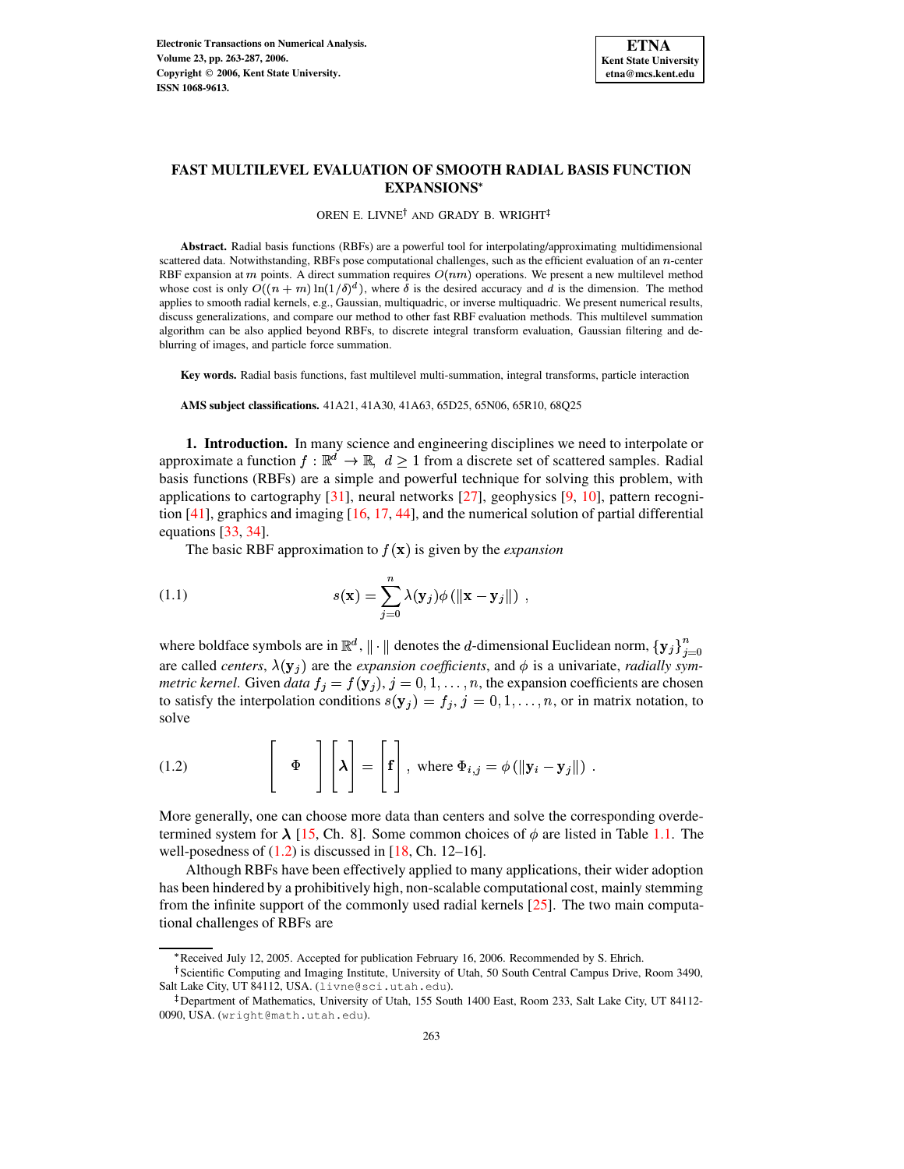

# **FAST MULTILEVEL EVALUATION OF SMOOTH RADIAL BASIS FUNCTION EXPANSIONS**

OREN E. LIVNE<sup>†</sup> AND GRADY B. WRIGHT

**Abstract.** Radial basis functions (RBFs) are a powerful tool for interpolating/approximating multidimensional scattered data. Notwithstanding, RBFs pose computational challenges, such as the efficient evaluation of an  $n$ -center RBF expansion at *m* points. A direct summation requires  $O(nm)$  operations. We present a new multilevel method whose cost is only  $O((n + m) \ln(1/\delta)^d)$ , where  $\delta$  is the desired accuracy and d is the dimension. The method applies to smooth radial kernels, e.g., Gaussian, multiquadric, or inverse multiquadric. We present numerical results, discuss generalizations, and compare our method to other fast RBF evaluation methods. This multilevel summation algorithm can be also applied beyond RBFs, to discrete integral transform evaluation, Gaussian filtering and deblurring of images, and particle force summation.

**Key words.** Radial basis functions, fast multilevel multi-summation, integral transforms, particle interaction

**AMS subject classifications.** 41A21, 41A30, 41A63, 65D25, 65N06, 65R10, 68Q25

**1. Introduction.** In many science and engineering disciplines we need to interpolate or approximate a function  $f : \mathbb{R}^d \to \mathbb{R}$ ,  $d \geq 1$  from a discrete set of scattered samples. Radial basis functions (RBFs) are a simple and powerful technique for solving this problem, with applications to cartography [\[31\]](#page-24-0), neural networks [\[27\]](#page-24-1), geophysics [\[9,](#page-23-0) [10\]](#page-23-1), pattern recognition [\[41\]](#page-24-2), graphics and imaging [\[16,](#page-23-2) [17,](#page-24-3) [44\]](#page-24-4), and the numerical solution of partial differential equations [\[33,](#page-24-5) [34\]](#page-24-6).

<span id="page-0-1"></span>The basic RBF approximation to  $f(\mathbf{x})$  is given by the *expansion* 

(1.1) 
$$
s(\mathbf{x}) = \sum_{j=0}^{n} \lambda(\mathbf{y}_{j}) \phi(||\mathbf{x} - \mathbf{y}_{j}||),
$$

where boldface symbols are in  $\mathbb{R}^d$ ,  $\|\cdot\|$  denotes the *d*-dimensional Euclidean norm,  $\{y_i\}_{i=0}^n$ are called *centers*,  $\lambda(\mathbf{y}_j)$  are the *expansion coefficients*, and  $\phi$  is a univariate, *radially symmetric kernel*. Given *data*  $f_i = f(\mathbf{y}_i), j = 0, 1, \ldots, n$ , the expansion coefficients are chosen to satisfy the interpolation conditions  $s(\mathbf{y}_i) = f_i, j = 0, 1, \ldots, n$ , or in matrix notation, to solve

<span id="page-0-0"></span>(1.2) 
$$
\left[\begin{array}{c}\Phi\end{array}\right]\left[\lambda\right]=\left[\begin{array}{c}\mathbf{f}\end{array}\right], \text{ where }\Phi_{i,j}=\phi\left(\|\mathbf{y}_{i}-\mathbf{y}_{j}\|\right).
$$

More generally, one can choose more data than centers and solve the corresponding overde-More generally, one can choose more data than centers and solve the corresponding overdetermined system for  $\lambda$  [\[15,](#page-23-3) Ch. 8]. Some common choices of  $\phi$  are listed in Table [1.1.](#page-1-0) The well-posedness of  $(1.2)$  is discussed in  $[18, Ch. 12-16]$  $[18, Ch. 12-16]$ .

Although RBFs have been effectively applied to many applications, their wider adoption has been hindered by a prohibitively high, non-scalable computational cost, mainly stemming from the infinite support of the commonly used radial kernels [\[25\]](#page-24-8). The two main computational challenges of RBFs are

<sup>\*</sup> Received July 12, 2005. Accepted for publication February 16, 2006. Recommended by S. Ehrich.

<sup>&</sup>lt;sup>†</sup>Scientific Computing and Imaging Institute, University of Utah, 50 South Central Campus Drive, Room 3490, Salt Lake City, UT 84112, USA. (livne@sci.utah.edu).

<sup>-</sup> Department of Mathematics, University of Utah, 155 South 1400 East, Room 233, Salt Lake City, UT 84112- 0090, USA. (wright@math.utah.edu).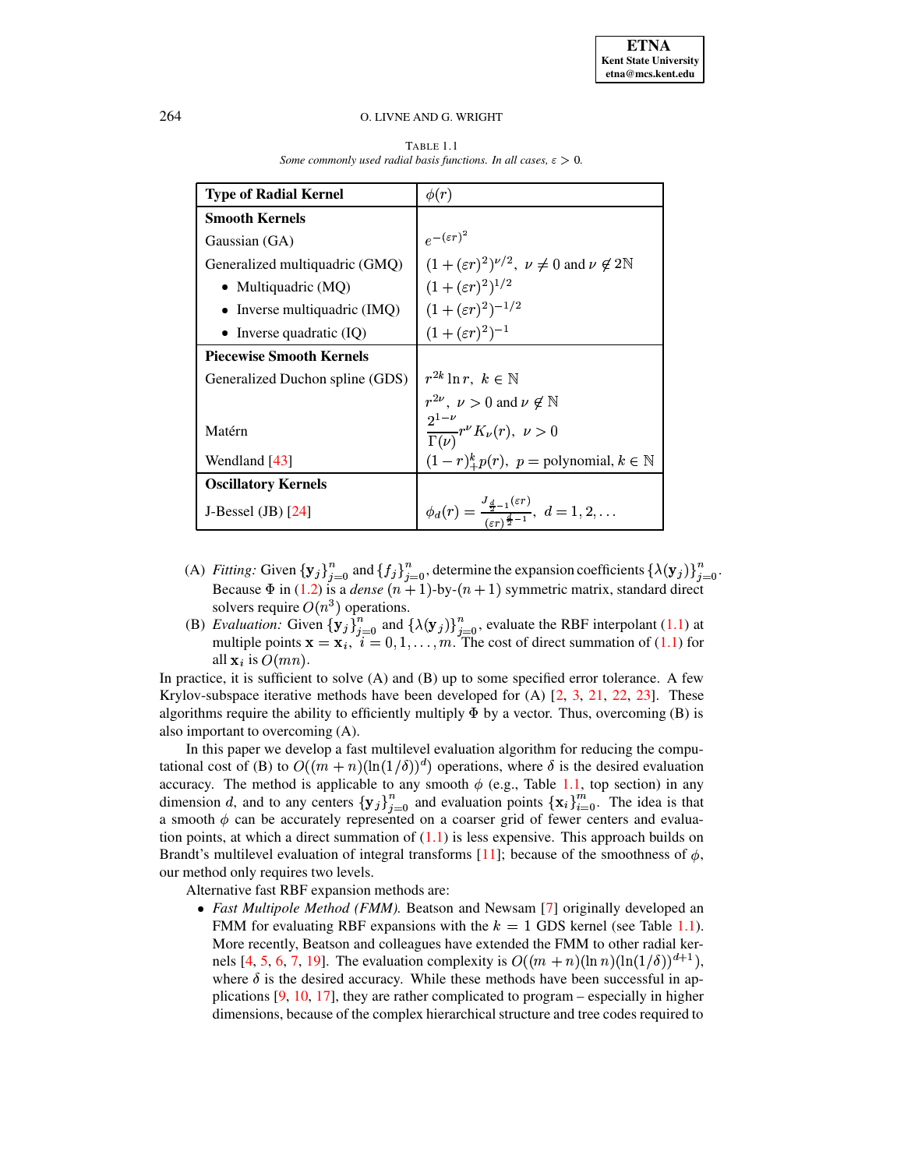<span id="page-1-0"></span>

| <b>Type of Radial Kernel</b>    | $\phi(r)$                                                                                                  |
|---------------------------------|------------------------------------------------------------------------------------------------------------|
| <b>Smooth Kernels</b>           |                                                                                                            |
| Gaussian (GA)                   | $e^{-(\varepsilon r)^2}$                                                                                   |
| Generalized multiquadric (GMQ)  | $(1+(\varepsilon r)^2)^{\nu/2}, \ \nu \neq 0$ and $\nu \notin 2\mathbb{N}$                                 |
| • Multiquadric $(MQ)$           | $(1+(\varepsilon r)^2)^{1/2}$                                                                              |
| • Inverse multiquadric $(IMQ)$  | $(1+(\varepsilon r)^2)^{-1/2}$                                                                             |
| • Inverse quadratic $(IQ)$      | $(1+(\varepsilon r)^2)^{-1}$                                                                               |
| <b>Piecewise Smooth Kernels</b> |                                                                                                            |
| Generalized Duchon spline (GDS) | $r^{2k}\ln r, \ k\in\mathbb{N}$                                                                            |
|                                 | $r^{2\nu}, \nu > 0$ and $\nu \notin \mathbb{N}$                                                            |
| Matérn                          | $\frac{2^{1-\nu}}{\Gamma(\nu)}r^{\nu}K_{\nu}(r),\ \nu>0$                                                   |
| Wendland [43]                   | $(1-r)^k_{+}p(r)$ , $p =$ polynomial, $k \in \mathbb{N}$                                                   |
| <b>Oscillatory Kernels</b>      |                                                                                                            |
| J-Bessel $(B)$ [24]             | $\phi_d(r) = \frac{J_{\frac{d}{2}-1}(\varepsilon r)}{(\varepsilon r)^{\frac{d}{2}-1}}, \ d = 1, 2, \ldots$ |

TABLE 1.1 *Some commonly used radial basis functions. In all cases,*  $\varepsilon > 0$ *.* 

- (A) *Fitting:* Given  $\{y_j\}_{j=0}^n$  and  $\{f_j\}_{j=0}^n$ , determine the expansion coefficients  $\{\lambda(y_j)\}_{j=0}^n$ .<br>Because  $\Phi$  in (1.2) is a *dense*  $(n + 1)$ -by- $(n + 1)$  symmetric matrix, standard direct in  $(1.2)$  is a *dense*  $(n + 1)$ -by- $(n + 1)$  symmetric matrix, standard direct solvers require  $O(n^3)$  operations.
- (B) *Evaluation:* Given  $\{y_j\}_{j=0}^n$  and  $\{\lambda(y_j)\}_{j=0}^n$ , evaluate the RBF interpolant [\(1.1\)](#page-0-1) at multiple points  $\mathbf{x} = \mathbf{x}_i$ ,  $i = 0, 1, ..., m$ . The cost of direct summation of (1.1) for all  $\mathbf{x}_i$  is  $O(mn)$ .

In practice, it is sufficient to solve  $(A)$  and  $(B)$  up to some specified error tolerance. A few Krylov-subspace iterative methods have been developed for (A)  $[2, 3, 21, 22, 23]$  $[2, 3, 21, 22, 23]$  $[2, 3, 21, 22, 23]$  $[2, 3, 21, 22, 23]$  $[2, 3, 21, 22, 23]$  $[2, 3, 21, 22, 23]$  $[2, 3, 21, 22, 23]$  $[2, 3, 21, 22, 23]$  $[2, 3, 21, 22, 23]$ . These algorithms require the ability to efficiently multiply  $\Phi$  by a vector. Thus, overcoming (B) is algorithms require the ability to efficiently multiply  $\Phi$  by a vector. Thus, overcoming (B) is also important to overcoming (A).

In this paper we develop a fast multilevel evaluation algorithm for reducing the computational cost of (B) to  $O((m+n)(\ln(1/\delta))^d)$  operations, where  $\delta$  is the desired evaluation accuracy. The method is applicable to any smooth  $\phi$  (e.g., Table [1.1,](#page-1-0) top section) in any accuracy. The method is applicable to any smooth  $\phi$  (e.g., Table 1.1, top section) in any dimension d, and to any centers  $\{y_i\}_{i=0}^n$  and evaluation points  $\{x_i\}_{i=0}^m$ . The idea is that a smooth  $\phi$  can be accurately represented on a coarser grid of fewer centers and evaluation points, at which a direct summation of  $(1.1)$  is less expensive. This approach builds on Brandt's multilevel evaluation of integral transforms [\[11\]](#page-23-6); because of the smoothness of  $\phi$ , our method only requires two levels.

Alternative fast RBF expansion methods are:

 *Fast Multipole Method (FMM).* Beatson and Newsam [\[7\]](#page-23-7) originally developed an FMM for evaluating RBF expansions with the  $k = 1$  GDS kernel (see Table [1.1\)](#page-1-0). More recently, Beatson and colleagues have extended the FMM to other radial ker-nels [\[4,](#page-23-8) [5,](#page-23-9) [6,](#page-23-10) [7,](#page-23-7) [19\]](#page-24-14). The evaluation complexity is  $O((m + n)(\ln n)(\ln(1/\delta))^{d+1}),$ where  $\delta$  is the desired accuracy. While these methods have been successful in applications [\[9,](#page-23-0) [10,](#page-23-1) [17\]](#page-24-3), they are rather complicated to program – especially in higher dimensions, because of the complex hierarchical structure and tree codes required to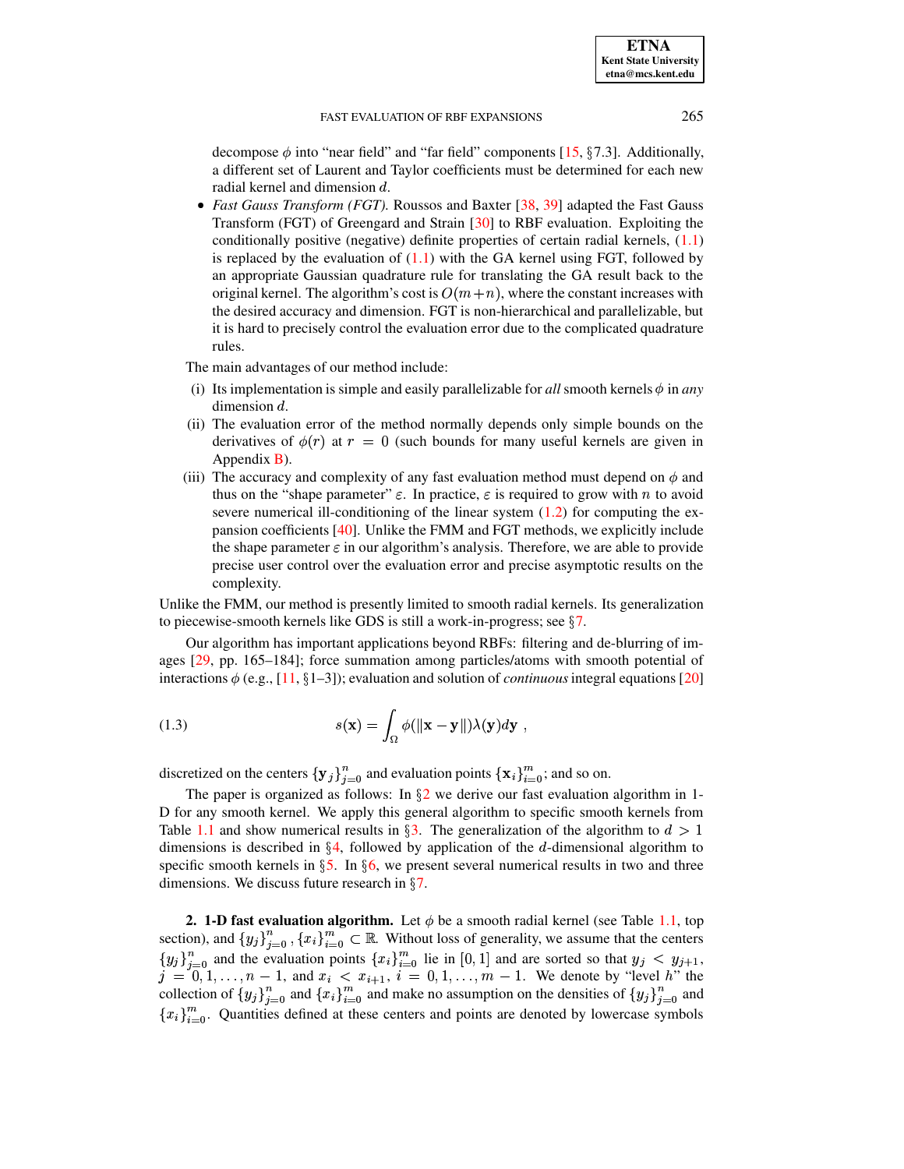decompose  $\phi$  into "near field" and "far field" components [\[15,](#page-23-3) §7.3]. Additionally, a different set of Laurent and Taylor coefficients must be determined for each new radial kernel and dimension  $d$ .

 *Fast Gauss Transform (FGT).* Roussos and Baxter [\[38,](#page-24-15) [39\]](#page-24-16) adapted the Fast Gauss Transform (FGT) of Greengard and Strain [\[30\]](#page-24-17) to RBF evaluation. Exploiting the conditionally positive (negative) definite properties of certain radial kernels, [\(1.1\)](#page-0-1) is replaced by the evaluation of  $(1.1)$  with the GA kernel using FGT, followed by an appropriate Gaussian quadrature rule for translating the GA result back to the original kernel. The algorithm's cost is  $O(m+n)$ , where the constant increases with the desired accuracy and dimension. FGT is non-hierarchical and parallelizable, but it is hard to precisely control the evaluation error due to the complicated quadrature rules.

The main advantages of our method include:

- (i) Its implementation is simple and easily parallelizable for *all* smooth kernels  $\phi$  in *any* dimension  $d$ .
- (ii) The evaluation error of the method normally depends only simple bounds on the derivatives of  $\phi(r)$  at  $r=0$  (such bounds for many useful kernels are given in Appendix [B\)](#page-21-0).
- (iii) The accuracy and complexity of any fast evaluation method must depend on  $\phi$  and thus on the "shape parameter"  $\varepsilon$ . In practice,  $\varepsilon$  is required to grow with n to avoid severe numerical ill-conditioning of the linear system  $(1.2)$  for computing the expansion coefficients [\[40\]](#page-24-18). Unlike the FMM and FGT methods, we explicitly include the shape parameter  $\varepsilon$  in our algorithm's analysis. Therefore, we are able to provide precise user control over the evaluation error and precise asymptotic results on the complexity.

Unlike the FMM, our method is presently limited to smooth radial kernels. Its generalization to piecewise-smooth kernels like GDS is still a work-in-progress; see  $\S7$ .

<span id="page-2-1"></span>Our algorithm has important applications beyond RBFs: filtering and de-blurring of images [\[29,](#page-24-19) pp. 165–184]; force summation among particles/atoms with smooth potential of interactions  $\phi$  (e.g., [\[11,](#page-23-6) §1–3]); evaluation and solution of *continuous* integral equations [\[20\]](#page-24-20)

(1.3) 
$$
s(\mathbf{x}) = \int_{\Omega} \phi(\|\mathbf{x} - \mathbf{y}\|) \lambda(\mathbf{y}) d\mathbf{y},
$$

discretized on the centers  $\{y_j\}_{j=0}^n$  and evaluation points  $\{x_i\}_{i=0}^m$ ; and so on.

The paper is organized as follows: In  $\S2$  $\S2$  we derive our fast evaluation algorithm in 1-D for any smooth kernel. We apply this general algorithm to specific smooth kernels from Table [1.1](#page-1-0) and show numerical results in §[3.](#page-7-0) The generalization of the algorithm to  $d > 1$ dimensions is described in  $\S 4$ , followed by application of the d-dimensional algorithm to specific smooth kernels in  $\S5$ . In  $\S6$ , we present several numerical results in two and three dimensions. We discuss future research in  $\S7$ .

<span id="page-2-0"></span>**2. 1-D fast evaluation algorithm.** Let  $\phi$  be a smooth radial kernel (see Table [1.1,](#page-1-0) top on) and  $\{y_i\}^n = \{x_i\}^m \in \mathbb{R}$ . Without loss of generality we assume that the centers **2. 1-D fast evaluation algorithm.** Let  $\phi$  be a smooth radial kernel (see Table 1.1, top section), and  $\{y_j\}_{i=0}^n$ ,  $\{x_i\}_{i=0}^m \subset \mathbb{R}$ . Without loss of generality, we assume that the centers section), and  $\{y_j\}_{j=0}^n$ ,  $\{x_i\}_{i=0}^m \subset \mathbb{R}$ . Without loss of generality, we assume that the centers  $\{y_j\}_{j=0}^n$  and the evaluation points  $\{x_i\}_{i=0}^m$  lie in [0, 1] and are sorted so that  $y_j < y_{j+1}$ ,  $j = 0, 1, \ldots, n - 1$ , and  $x_i < x_{i+1}$ , bints  ${x_i}_{i=0}^m$  lie ii<br>  $\langle x_{i+1}, i = 0, 1 \rangle$  $i = 0, 1, \ldots, m - 1$ . We denote by "level h" the  $j = 0, 1, \ldots, n - 1$ , and  $x_i < x_{i+1}, i = 0, 1, \ldots, m - 1$ . We denote by "level h" the collection of  $\{y_j\}_{j=0}^n$  and  $\{x_i\}_{i=0}^m$  and make no assumption on the densities of  $\{y_j\}_{j=0}^n$  and  $\{x_i\}_{i=0}^m$ . Quantities de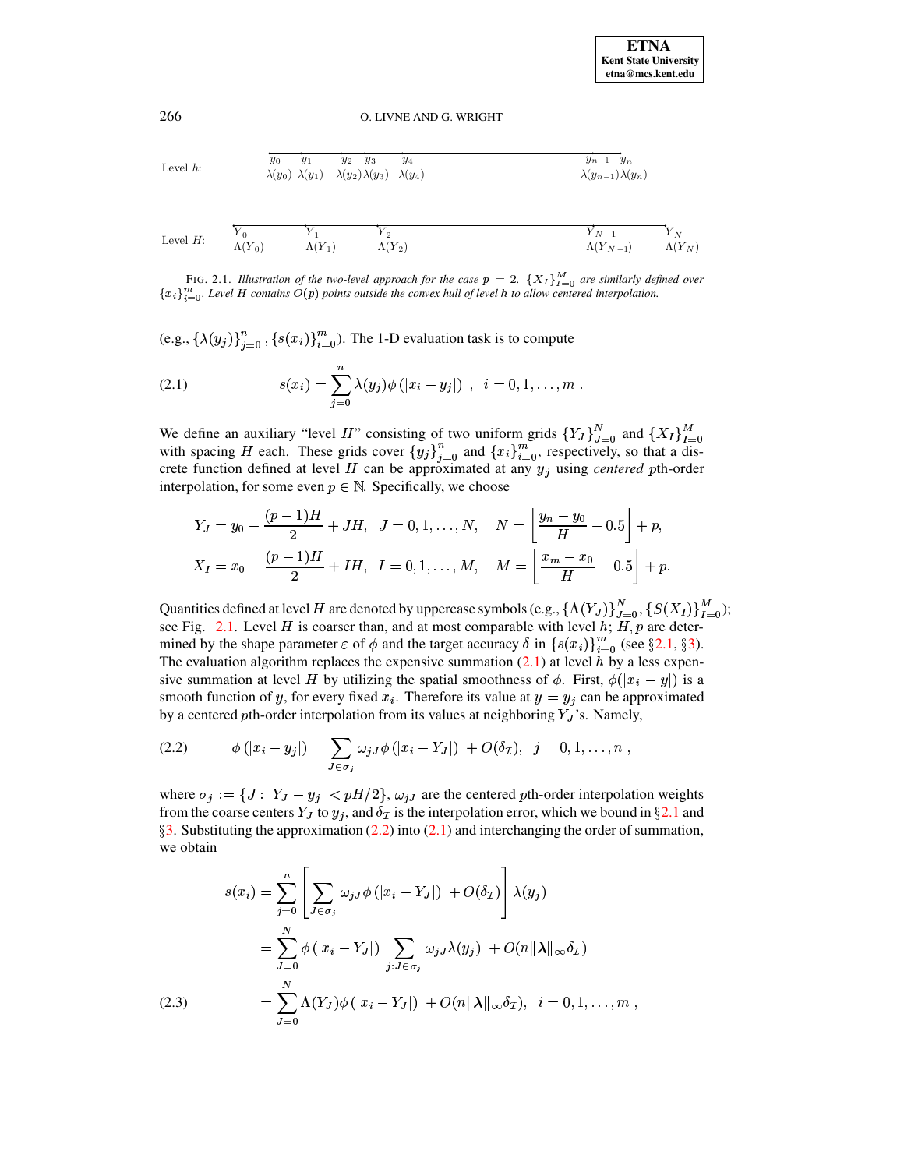Level h: 
$$
\begin{array}{ccccc}\n\overline{y_0} & y_1 & y_2 & y_3 & y_4 & & \overline{y_{n-1}} & y_n \\
\lambda(y_0) & \lambda(y_1) & \lambda(y_2) \lambda(y_3) & \lambda(y_4) & & \lambda(y_{n-1}) \lambda(y_n)\n\end{array}
$$

$$
\text{Level } H: \qquad \begin{array}{c} \overbrace{Y_0} \qquad \qquad Y_1 \\ \Lambda(Y_0) \qquad \qquad \Lambda(Y_1) \qquad \qquad \Lambda(Y_2) \end{array} \qquad \qquad \begin{array}{c} \overbrace{Y_{N-1}} \qquad \qquad Y_N \\ \Lambda(Y_{N-1}) \qquad \qquad \Lambda(Y_N) \end{array}
$$

<span id="page-3-0"></span>FIG. 2.1. Illustration of the two-level approach for the case  $p = 2$ .  $\{X_I\}_{I=0}^M$  are similarly defined over  ${x_i}_{i=0}^m$ . Level H contains  $O(p)$  points outside the convex hull of level h to allow centered interpolation.

(e.g.,  $\{\lambda(y_j)\}_{j=0}^n$ ,  $\{s(x_i)\}_{i=0}^m$ ). The 1-D evaluation task is to compute

<span id="page-3-1"></span>(2.1) 
$$
s(x_i) = \sum_{j=0}^n \lambda(y_j) \phi(|x_i - y_j|) , \quad i = 0, 1, ..., m.
$$

We define an auxiliary "level H" consisting of two uniform grids  $\{Y_J\}_{J=0}^N$  and  $\{X_I\}_{I=0}^M$  with spacing H each. These grids cover  $\{y_j\}_{j=0}^n$  and  $\{x_i\}_{i=0}^m$ , respectively, so that a discrete function defined at level H can be approximated at any  $y_j$  using *centered* pth-order interpolation, for some even  $p \in \mathbb{N}$ . Specifically, we choose

$$
Y_J = y_0 - \frac{(p-1)H}{2} + JH, \quad J = 0, 1, ..., N, \quad N = \left\lfloor \frac{y_n - y_0}{H} - 0.5 \right\rfloor + p,
$$
  

$$
X_I = x_0 - \frac{(p-1)H}{2} + IH, \quad I = 0, 1, ..., M, \quad M = \left\lfloor \frac{x_m - x_0}{H} - 0.5 \right\rfloor + p.
$$

Quantities defined at level H are denoted by uppercase symbols (e.g.,  $\{\Lambda(Y_J)\}_{J=0}^N$ ,  $\{S(X_I)\}_{I=0}^M$ ); see Fig. 2.1. Level H is coarser than, and at most comparable with level h;  $H, p$  are determined by the shape parameter  $\varepsilon$  of  $\phi$  and the target accuracy  $\delta$  in  $\{s(x_i)\}_{i=0}^m$  (see §2.1, §3). The evaluation algorithm replaces the expensive summation  $(2.1)$  at level h by a less expensive summation at level H by utilizing the spatial smoothness of  $\phi$ . First,  $\phi(|x_i - y|)$  is a smooth function of y, for every fixed  $x_i$ . Therefore its value at  $y = y_j$  can be approximated by a centered pth-order interpolation from its values at neighboring  $Y_J$ 's. Namely,

<span id="page-3-2"></span>(2.2) 
$$
\phi(|x_i - y_j|) = \sum_{J \in \sigma_j} \omega_{jJ} \phi(|x_i - Y_J|) + O(\delta_{\mathcal{I}}), \ \ j = 0, 1, ..., n,
$$

where  $\sigma_j := \{ J : |Y_J - y_j| < pH/2 \}, \omega_{jJ}$  are the centered pth-order interpolation weights from the coarse centers  $Y_J$  to  $y_j$ , and  $\delta_{\mathcal{I}}$  is the interpolation error, which we bound in §2.1 and  $\S$ 3. Substituting the approximation (2.2) into (2.1) and interchanging the order of summation, we obtain

<span id="page-3-3"></span>
$$
s(x_i) = \sum_{j=0}^{n} \left[ \sum_{J \in \sigma_j} \omega_{jJ} \phi(|x_i - Y_J|) + O(\delta_{\mathcal{I}}) \right] \lambda(y_j)
$$
  
= 
$$
\sum_{J=0}^{N} \phi(|x_i - Y_J|) \sum_{j: J \in \sigma_j} \omega_{jJ} \lambda(y_j) + O(n||\lambda||_{\infty} \delta_{\mathcal{I}})
$$
  
= 
$$
\sum_{J=0}^{N} \Lambda(Y_J) \phi(|x_i - Y_J|) + O(n||\lambda||_{\infty} \delta_{\mathcal{I}}), \quad i = 0, 1, ..., m,
$$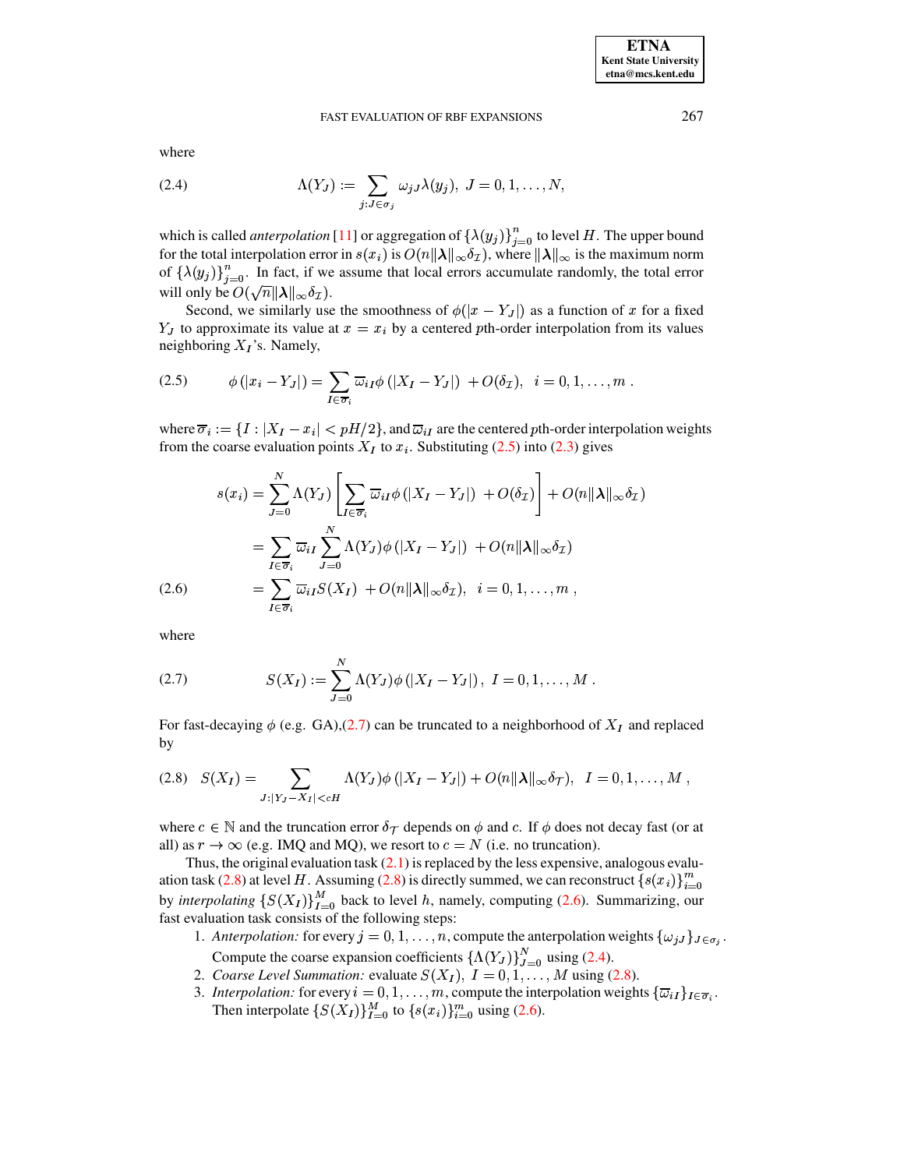<span id="page-4-4"></span>where

(2.4) 
$$
\Lambda(Y_J) := \sum_{j: J \in \sigma_j} \omega_{jJ} \lambda(y_j), J = 0, 1, \dots, N,
$$

which is called *anterpolation* [11] or aggregation of  $\{\lambda(y_j)\}_{j=0}^n$  to level H. The upper bound for the total interpolation error in  $s(x_i)$  is  $O(n||\lambda||_{\infty}\delta_{\mathcal{I}})$ , where  $||\lambda||_{\infty}$  is the maximum norm of  $\{\lambda(y_j)\}_{j=0}^n$ . In fact, if we assume that local errors accumulate randomly, the total error will only be  $O(\sqrt{n} ||\lambda||_{\infty} \delta_{\mathcal{I}})$ .

<span id="page-4-0"></span>Second, we similarly use the smoothness of  $\phi(|x-Y_J|)$  as a function of x for a fixed  $Y_J$  to approximate its value at  $x = x_i$  by a centered pth-order interpolation from its values neighboring  $X_I$ 's. Namely,

$$
(2.5) \qquad \phi(|x_i - Y_J|) = \sum_{I \in \overline{\sigma}_i} \overline{\omega}_{iI} \phi(|X_I - Y_J|) + O(\delta_{\mathcal{I}}), \quad i = 0, 1, \ldots, m.
$$

where  $\overline{\sigma}_i := \{I : |X_I - x_i| < pH/2\}$ , and  $\overline{\omega}_{iI}$  are the centered pth-order interpolation weights from the coarse evaluation points  $X_I$  to  $x_i$ . Substituting (2.5) into (2.3) gives

<span id="page-4-3"></span>
$$
s(x_i) = \sum_{J=0}^{N} \Lambda(Y_J) \left[ \sum_{I \in \overline{\sigma}_i} \overline{\omega}_{iI} \phi(|X_I - Y_J|) + O(\delta_{\mathcal{I}}) \right] + O(n||\lambda||_{\infty} \delta_{\mathcal{I}})
$$
  
\n
$$
= \sum_{I \in \overline{\sigma}_i} \overline{\omega}_{iI} \sum_{J=0}^{N} \Lambda(Y_J) \phi(|X_I - Y_J|) + O(n||\lambda||_{\infty} \delta_{\mathcal{I}})
$$
  
\n(2.6)  
\n
$$
= \sum_{I \in \overline{\sigma}_i} \overline{\omega}_{iI} S(X_I) + O(n||\lambda||_{\infty} \delta_{\mathcal{I}}), \quad i = 0, 1, ..., m,
$$

<span id="page-4-1"></span>where

(2.7) 
$$
S(X_I) := \sum_{J=0}^{N} \Lambda(Y_J) \phi(|X_I - Y_J|), \ I = 0, 1, ..., M.
$$

<span id="page-4-2"></span>For fast-decaying  $\phi$  (e.g. GA),(2.7) can be truncated to a neighborhood of  $X_I$  and replaced by

$$
(2.8) \quad S(X_I) = \sum_{J:|Y_J - X_I| < cH} \Lambda(Y_J) \phi(|X_I - Y_J|) + O(n||\lambda||_\infty \delta_T), \quad I = 0, 1, \dots, M,
$$

where  $c \in \mathbb{N}$  and the truncation error  $\delta_{\mathcal{T}}$  depends on  $\phi$  and c. If  $\phi$  does not decay fast (or at all) as  $r \to \infty$  (e.g. IMQ and MQ), we resort to  $c = N$  (i.e. no truncation).

Thus, the original evaluation task  $(2.1)$  is replaced by the less expensive, analogous evaluation task (2.8) at level H. Assuming (2.8) is directly summed, we can reconstruct  $\{s(x_i)\}_{i=0}^m$ by *interpolating*  $\{S(X_I)\}_{I=0}^M$  back to level h, namely, computing (2.6). Summarizing, our fast evaluation task consists of the following steps:

- 1. Anterpolation: for every  $j = 0, 1, ..., n$ , compute the anterpolation weights  $\{\omega_{jJ}\}_{J \in \sigma_{j}}$ . Compute the coarse expansion coefficients  $\{\Lambda(Y_J)\}_{J=0}^N$  using (2.4).
- 2. Coarse Level Summation: evaluate  $S(X_I)$ ,  $I = 0, 1, ..., M$  using (2.8).
- 3. Interpolation: for every  $i = 0, 1, ..., m$ , compute the interpolation weights  $\{\overline{\omega}_{iI}\}_{I \in \overline{\sigma}_i}$ . Then interpolate  $\{S(X_I)\}_{I=0}^M$  to  $\{s(x_i)\}_{i=0}^m$  using (2.6).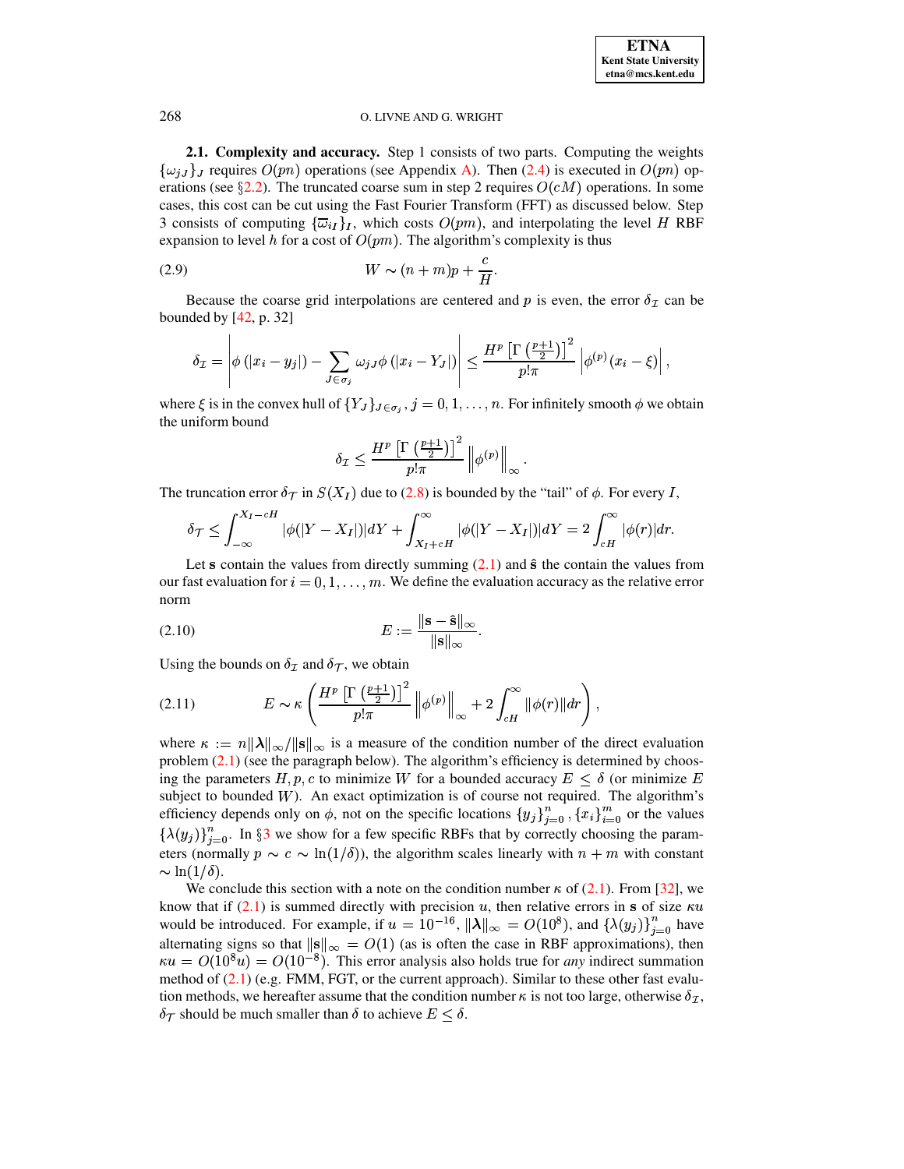<span id="page-5-0"></span>2.1. Complexity and accuracy. Step 1 consists of two parts. Computing the weights  $\{\omega_{iJ}\}\$  requires  $O(pn)$  operations (see Appendix A). Then (2.4) is executed in  $O(pn)$  operations (see §2.2). The truncated coarse sum in step 2 requires  $O(cM)$  operations. In some cases, this cost can be cut using the Fast Fourier Transform (FFT) as discussed below. Step 3 consists of computing  $\{\overline{\omega}_{iI}\}_I$ , which costs  $O(pm)$ , and interpolating the level H RBF expansion to level h for a cost of  $O(pm)$ . The algorithm's complexity is thus

$$
(2.9) \t\t W \sim (n+m)p + \frac{c}{H}
$$

Because the coarse grid interpolations are centered and p is even, the error  $\delta_{\mathcal{I}}$  can be bounded by  $[42, p. 32]$ 

$$
\delta_{\mathcal{I}} = \left| \phi(|x_i - y_j|) - \sum_{J \in \sigma_j} \omega_{jJ} \phi(|x_i - Y_J|) \right| \leq \frac{H^p \left[ \Gamma\left(\frac{p+1}{2}\right) \right]^2}{p!\pi} \left| \phi^{(p)}(x_i - \xi) \right|,
$$

where  $\xi$  is in the convex hull of  $\{Y_J\}_{J \in \sigma_j}$ ,  $j = 0, 1, ..., n$ . For infinitely smooth  $\phi$  we obtain the uniform bound

<span id="page-5-3"></span>
$$
\delta_{\mathcal{I}} \leq \frac{H^p \left[ \Gamma \left( \frac{p+1}{2} \right) \right]^2}{p!\pi} \left\| \phi^{(p)} \right\|_{\infty}
$$

The truncation error  $\delta_{\mathcal{T}}$  in  $S(X_I)$  due to (2.8) is bounded by the "tail" of  $\phi$ . For every I,

$$
\delta_{\mathcal{T}} \leq \int_{-\infty}^{X_I-cH} |\phi(|Y-X_I|)|dY + \int_{X_I+cH}^{\infty} |\phi(|Y-X_I|)|dY = 2\int_{cH}^{\infty} |\phi(r)|dr.
$$

Let s contain the values from directly summing  $(2.1)$  and  $\hat{\mathbf{s}}$  the contain the values from our fast evaluation for  $i = 0, 1, \ldots, m$ . We define the evaluation accuracy as the relative error norm

<span id="page-5-2"></span>
$$
(2.10) \t\t\t\t\t E := \frac{\|\mathbf{s} - \hat{\mathbf{s}}\|_{\infty}}{\|\mathbf{s}\|_{\infty}}.
$$

<span id="page-5-1"></span>Using the bounds on  $\delta_{\mathcal{I}}$  and  $\delta_{\mathcal{T}}$ , we obtain

$$
(2.11) \t E \sim \kappa \left( \frac{H^p \left[ \Gamma \left( \frac{p+1}{2} \right) \right]^2}{p!\pi} \left\| \phi^{(p)} \right\|_{\infty} + 2 \int_{cH}^{\infty} \|\phi(r)\| dr \right),
$$

where  $\kappa := n \|\lambda\|_{\infty}/\|s\|_{\infty}$  is a measure of the condition number of the direct evaluation problem  $(2.1)$  (see the paragraph below). The algorithm's efficiency is determined by choosing the parameters H, p, c to minimize W for a bounded accuracy  $E \leq \delta$  (or minimize E subject to bounded  $W$ ). An exact optimization is of course not required. The algorithm's efficiency depends only on  $\phi$ , not on the specific locations  $\{y_j\}_{j=0}^n$ ,  $\{x_i\}_{i=0}^m$  or the values  $\{\lambda(y_j)\}_{j=0}^n$ . In §3 we show for a few specific RBFs that by correctly choosing the parameters (normally  $p \sim c \sim \ln(1/\delta)$ ), the algorithm scales linearly with  $n + m$  with constant  $\sim \ln(1/\delta)$ .

We conclude this section with a note on the condition number  $\kappa$  of (2.1). From [32], we know that if  $(2.1)$  is summed directly with precision u, then relative errors in s of size  $\kappa u$ would be introduced. For example, if  $u = 10^{-16}$ ,  $\|\lambda\|_{\infty} = O(10^8)$ , and  $\{\lambda(y_j)\}_{j=0}^n$  have alternating signs so that  $\|\mathbf{s}\|_{\infty} = O(1)$  (as is often the case in RBF approximations), then  $\kappa u = O(10^8 u) = O(10^{-8})$ . This error analysis also holds true for *any* indirect summation method of  $(2.1)$  (e.g. FMM, FGT, or the current approach). Similar to these other fast evalution methods, we hereafter assume that the condition number  $\kappa$  is not too large, otherwise  $\delta_{\mathcal{I}}$ ,  $\delta_{\mathcal{T}}$  should be much smaller than  $\delta$  to achieve  $E \leq \delta$ .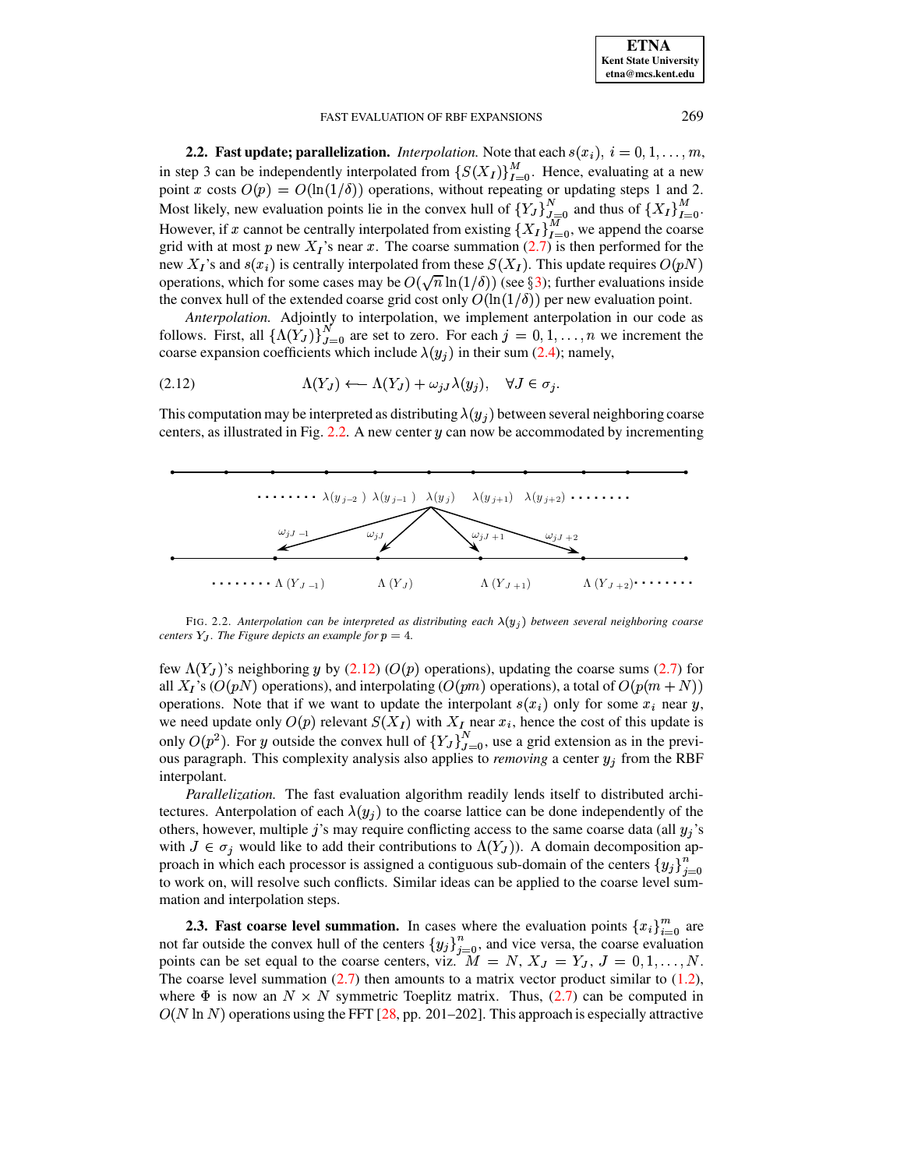<span id="page-6-2"></span>

| <b>ETNA</b>                  |
|------------------------------|
| <b>Kent State University</b> |
| etna@mcs.kent.edu            |

<span id="page-6-0"></span>**2.2.** Fast update; parallelization. *Interpolation*. Note that each  $s(x_i)$ ,  $i = 0, 1, ..., m$ , in step 3 can be independently interpolated from  $\{S(X_I)\}_{I=0}^M$ . Hence, evaluating at a new point x costs  $O(p) = O(\ln(1/\delta))$  operations, without repeating or updating steps 1 and 2. Most likely, new evaluation points lie in the convex hull of  $\{Y_J\}_{J=0}^N$  and thus of  $\{X_I\}_{I=0}^M$ . However, if x cannot be centrally interpolated from existing  $\{X_I\}_{I=0}^{\overline{M}}$ , we append the coarse<br>grid with at most p new  $X_I$ 's near x. The coarse summation (2.7) is then performed for the new  $X_I$ 's and  $s(x_i)$  is centrally interpolated from these  $S(X_I)$ . This update requires  $O(pN)$ operations, which for some cases may be  $O(\sqrt{n}\ln(1/\delta))$  (see §3); further evaluations inside the convex hull of the extended coarse grid cost only  $O(\ln(1/\delta))$  per new evaluation point.

Anterpolation. Adjointly to interpolation, we implement anterpolation in our code as follows. First, all  $\{\Lambda(Y_J)\}_{J=0}^N$  are set to zero. For each  $j = 0, 1, \ldots, n$  we increment the coarse expansion coefficients which include  $\lambda(y_j)$  in their sum (2.4); namely,

$$
(2.12) \qquad \Lambda(Y_J) \longleftarrow \Lambda(Y_J) + \omega_{jJ}\lambda(y_j), \quad \forall J \in \sigma_j
$$

This computation may be interpreted as distributing  $\lambda(y_i)$  between several neighboring coarse centers, as illustrated in Fig. 2.2. A new center  $y$  can now be accommodated by incrementing



<span id="page-6-1"></span>FIG. 2.2. Anterpolation can be interpreted as distributing each  $\lambda(y_i)$  between several neighboring coarse centers  $Y_J$ . The Figure depicts an example for  $p = 4$ .

few  $\Lambda(Y_J)$ 's neighboring y by (2.12) (O(p) operations), updating the coarse sums (2.7) for all  $X_I$ 's ( $O(pN)$ ) operations), and interpolating ( $O(pm)$ ) operations), a total of  $O(p(m+N))$ operations. Note that if we want to update the interpolant  $s(x_i)$  only for some  $x_i$  near y, we need update only  $O(p)$  relevant  $S(X_I)$  with  $X_I$  near  $x_i$ , hence the cost of this update is only  $O(p^2)$ . For y outside the convex hull of  $\{Y_J\}_{J=0}^N$ , use a grid extension as in the previous paragraph. This complexity analysis also applies to *removing* a center  $y_i$  from the RBF interpolant.

Parallelization. The fast evaluation algorithm readily lends itself to distributed architectures. Anterpolation of each  $\lambda(y_i)$  to the coarse lattice can be done independently of the others, however, multiple j's may require conflicting access to the same coarse data (all  $y_i$ 's with  $J \in \sigma_i$  would like to add their contributions to  $\Lambda(Y_J)$ ). A domain decomposition approach in which each processor is assigned a contiguous sub-domain of the centers  ${y_j}_{j=0}^n$ to work on, will resolve such conflicts. Similar ideas can be applied to the coarse level summation and interpolation steps.

<span id="page-6-3"></span>**2.3. Fast coarse level summation.** In cases where the evaluation points  $\{x_i\}_{i=0}^m$  are not far outside the convex hull of the centers  $\{y_j\}_{j=0}^n$ , and vice versa, the coarse evaluation points can be set equal to the coarse centers, viz.  $M = N$ ,  $X_J = Y_J$ ,  $J = 0, 1, ..., N$ . The coarse level summation  $(2.7)$  then amounts to a matrix vector product similar to  $(1.2)$ , where  $\Phi$  is now an  $N \times N$  symmetric Toeplitz matrix. Thus, (2.7) can be computed in  $O(N \ln N)$  operations using the FFT [28, pp. 201–202]. This approach is especially attractive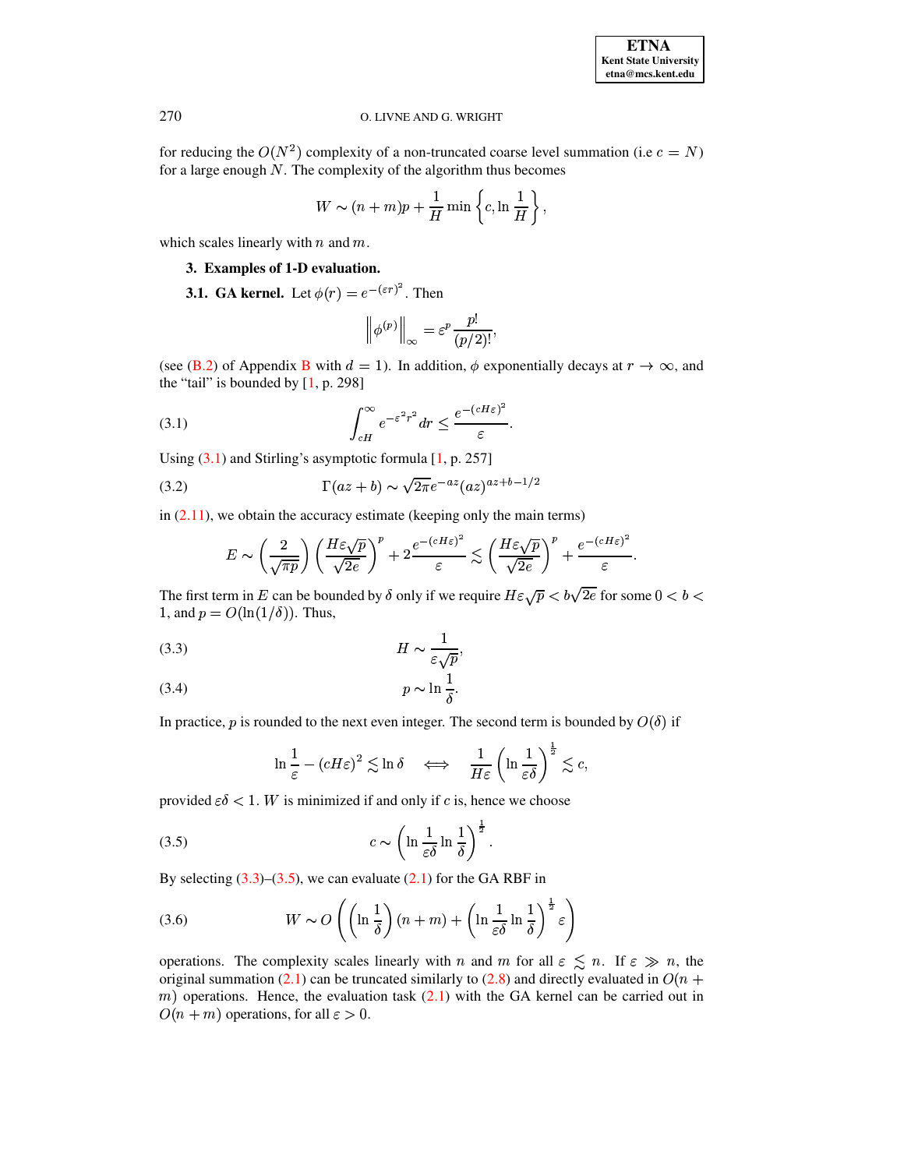for reducing the  $O(N^2)$  complexity of a non-truncated coarse level summation (i.e  $c = N$ ) for a large enough  $N$ . The complexity of the algorithm thus becomes

$$
W \sim (n+m)p + \frac{1}{H} \min \left\{ c, \ln \frac{1}{H} \right\},\,
$$

<span id="page-7-0"></span>which scales linearly with  $n$  and  $m$ .

## **3. Examples of 1-D evaluation.**

**3.1. GA** kernel. Let  $\phi(r) = e^{-(\varepsilon r)^2}$ . Then

<span id="page-7-5"></span>
$$
\left\|\phi^{(p)}\right\|_{\infty}=\varepsilon^p\frac{p!}{(p/2)!},
$$

<span id="page-7-1"></span>(see [\(B.2\)](#page-21-1) of Appendix [B](#page-21-0) with  $d = 1$ ). In addition,  $\phi$  exponentially decays at  $r \to \infty$ , and the "tail" is bounded by  $[1, p. 298]$  $[1, p. 298]$ 

(3.1) 
$$
\int_{cH}^{\infty} e^{-\varepsilon^2 r^2} dr \leq \frac{e^{-(cH\varepsilon)^2}}{\varepsilon}.
$$

Using  $(3.1)$  and Stirling's asymptotic formula  $[1, p. 257]$  $[1, p. 257]$ 

$$
(3.2)\qquad \qquad \Gamma(az+b) \sim \sqrt{2\pi}e^{-az}(az)^{az+b-1/2}
$$

in  $(2.11)$ , we obtain the accuracy estimate (keeping only the main terms)

$$
E \sim \left(\frac{2}{\sqrt{\pi p}}\right) \left(\frac{H\varepsilon \sqrt{p}}{\sqrt{2e}}\right)^p + 2 \frac{e^{-(cH\varepsilon)^2}}{\varepsilon} \lesssim \left(\frac{H\varepsilon \sqrt{p}}{\sqrt{2e}}\right)^p + \frac{e^{-(cH\varepsilon)^2}}{\varepsilon}.
$$

The first term in E can be bounded by  $\delta$  only if we require  $H\varepsilon\sqrt{p} < b\sqrt{2e}$  for some  $0 < b <$ 1, and  $p = O(\ln(1/\delta))$ . Thus,

ÐY <sup>+</sup> uñ (3.3) (

$$
(3.4) \t\t\t p \sim \ln \frac{1}{\delta}.
$$

In practice, p is rounded to the next even integer. The second term is bounded by  $O(\delta)$  if

<span id="page-7-4"></span><span id="page-7-3"></span><span id="page-7-2"></span>
$$
\ln\frac{1}{\varepsilon} - (cH\varepsilon)^2 \lesssim \ln\delta \quad \Longleftrightarrow \quad \frac{1}{H\varepsilon} \left(\ln\frac{1}{\varepsilon\delta}\right)^{\frac{1}{2}} \lesssim c,
$$

provided  $\varepsilon \delta < 1$ . W is minimized if and only if c is, hence we choose

$$
(3.5) \t\t\t c \sim \left(\ln\frac{1}{\varepsilon\delta}\ln\frac{1}{\delta}\right)^{\frac{1}{2}}.
$$

By selecting  $(3.3)$ – $(3.5)$ , we can evaluate  $(2.1)$  for the GA RBF in

(3.6) 
$$
W \sim O\left(\left(\ln \frac{1}{\delta}\right)(n+m) + \left(\ln \frac{1}{\varepsilon \delta} \ln \frac{1}{\delta}\right)^{\frac{1}{2}} \varepsilon\right)
$$

operations. The complexity scales linearly with n and m for all  $\varepsilon \leq n$ . If  $\varepsilon \gg n$ , the original summation [\(2.1\)](#page-3-1) can be truncated similarly to [\(2.8\)](#page-4-2) and directly evaluated in  $O(n +$  $m$ ) operations. Hence, the evaluation task  $(2.1)$  with the GA kernel can be carried out in  $O(n + m)$  operations, for all  $\varepsilon > 0$ .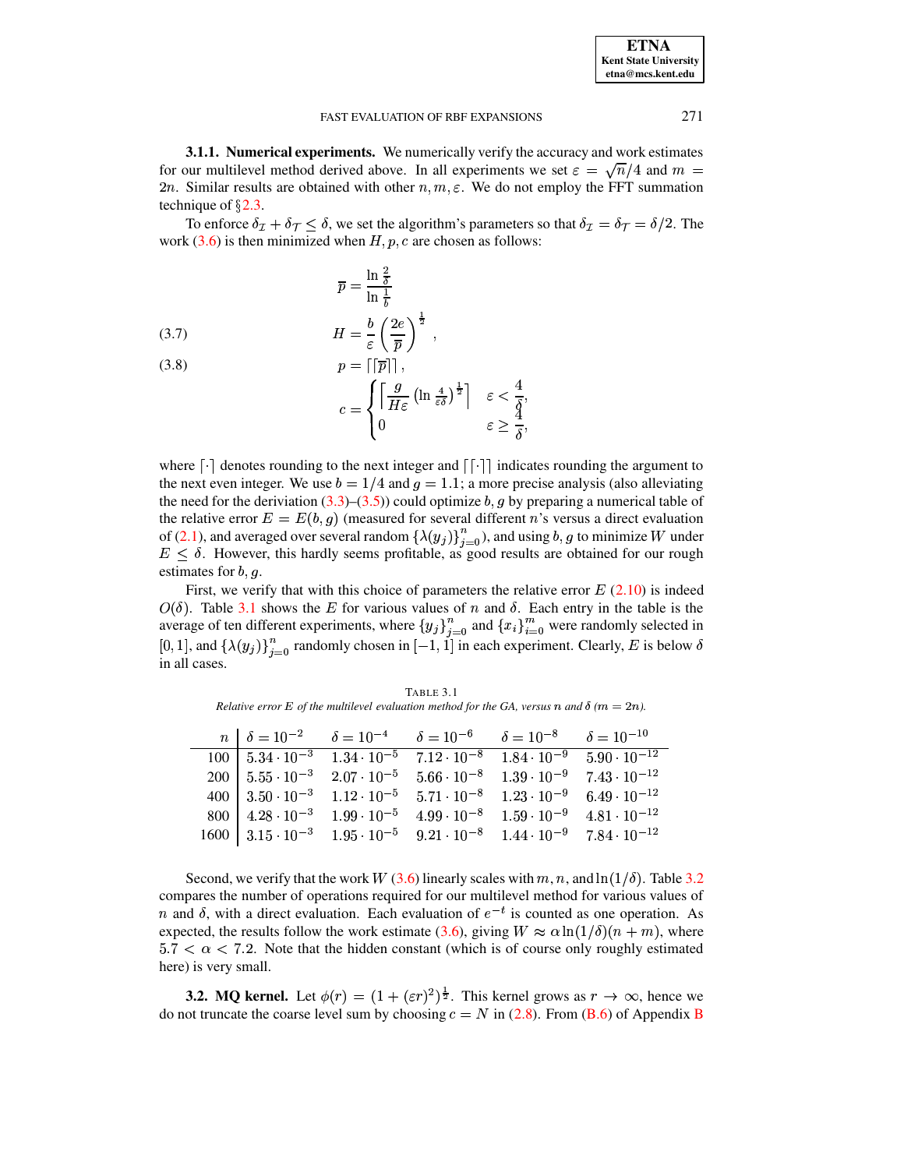<span id="page-8-1"></span>**3.1.1. Numerical experiments.** We numerically verify the accuracy and work estimates for our multilevel method derived above. In all experiments we set  $\varepsilon = \sqrt{n}/4$  and  $m =$ 2n. Similar results are obtained with other  $n, m, \varepsilon$ . We do not employ the FFT summation technique of  $\S$ 2.3.

To enforce  $\delta_{\mathcal{I}} + \delta_{\mathcal{T}} \leq \delta$ , we set the algorithm's parameters so that  $\delta_{\mathcal{I}} = \delta_{\mathcal{T}} = \delta/2$ . The work  $(3.6)$  is then minimized when H, p, c are chosen as follows:

<span id="page-8-3"></span>(3.7) 
$$
\overline{p} = \frac{\ln \frac{2}{\delta}}{\ln \frac{1}{b}}
$$

$$
H = \frac{b}{\varepsilon} \left(\frac{2e}{\overline{p}}\right)^{\frac{1}{2}},
$$

 $(3.8)$  $p=||\overline{p}||$ ,

$$
c = \begin{cases} \left\lceil \frac{g}{H\varepsilon} \left( \ln \frac{4}{\varepsilon \delta} \right)^{\frac{1}{2}} \right\rceil & \varepsilon < \frac{4}{\delta} \\ 0 & \varepsilon \ge \frac{4}{\delta} \end{cases}
$$

where  $\lceil \cdot \rceil$  denotes rounding to the next integer and  $\lceil \cdot \rceil$  indicates rounding the argument to the next even integer. We use  $b = 1/4$  and  $g = 1.1$ ; a more precise analysis (also alleviating the need for the deriviation (3.3)–(3.5)) could optimize b, g by preparing a numerical table of the relative error  $E = E(b, g)$  (measured for several different n's versus a direct evaluation of (2.1), and averaged over several random  $\{\lambda(y_j)\}_{j=0}^n$ ), and using  $b, g$  to minimize W under  $E \leq \delta$ . However, this hardly seems profitable, as good results are obtained for our rough estimates for  $b, q$ .

First, we verify that with this choice of parameters the relative error  $E(2.10)$  is indeed  $O(\delta)$ . Table 3.1 shows the E for various values of n and  $\delta$ . Each entry in the table is the average of ten different experiments, where  $\{y_j\}_{j=0}^n$  and  $\{x_i\}_{i=0}^m$  were randomly selected in [0,1], and  $\{\lambda(y_j)\}_{j=0}^n$  randomly chosen in  $[-1,1]$  in each experiment. Clearly, E is below  $\delta$ in all cases.

TABLE 3.1 Relative error E of the multilevel evaluation method for the GA, versus n and  $\delta$  ( $m = 2n$ ).

<span id="page-8-0"></span>

| $n \mid \delta = 10^{-2}$      | $\delta = 10^{-4}$ $\delta = 10^{-6}$ |                                                                | $\delta = 10^{-8}$ $\delta = 10^{-10}$ |                       |
|--------------------------------|---------------------------------------|----------------------------------------------------------------|----------------------------------------|-----------------------|
| $100\, \,5.34\cdot10^{-3}$     |                                       | $1.34 \cdot 10^{-5}$ $7.12 \cdot 10^{-8}$ $1.84 \cdot 10^{-9}$ |                                        | $5.90 \cdot 10^{-12}$ |
| $200 \mid 5.55 \cdot 10^{-3}$  |                                       | $2.07 \cdot 10^{-5}$ $5.66 \cdot 10^{-8}$ $1.39 \cdot 10^{-9}$ |                                        | $7.43 \cdot 10^{-12}$ |
| 400   $3.50 \cdot 10^{-3}$     |                                       | $1.12 \cdot 10^{-5}$ $5.71 \cdot 10^{-8}$ $1.23 \cdot 10^{-9}$ |                                        | $6.49 \cdot 10^{-12}$ |
| 800   $4.28 \cdot 10^{-3}$     |                                       | $1.99 \cdot 10^{-5}$ $4.99 \cdot 10^{-8}$                      | $1.59 \cdot 10^{-9}$                   | $4.81 \cdot 10^{-12}$ |
| $1600 \mid 3.15 \cdot 10^{-3}$ |                                       | $1.95 \cdot 10^{-5}$ $9.21 \cdot 10^{-8}$ $1.44 \cdot 10^{-9}$ |                                        | $7.84 \cdot 10^{-12}$ |

Second, we verify that the work W (3.6) linearly scales with m, n, and  $\ln(1/\delta)$ . Table 3.2 compares the number of operations required for our multilevel method for various values of n and  $\delta$ , with a direct evaluation. Each evaluation of  $e^{-t}$  is counted as one operation. As expected, the results follow the work estimate (3.6), giving  $W \approx \alpha \ln(1/\delta)(n+m)$ , where  $5.7 < \alpha < 7.2$ . Note that the hidden constant (which is of course only roughly estimated here) is very small.

<span id="page-8-2"></span>**3.2. MQ kernel.** Let  $\phi(r) = (1 + (\varepsilon r)^2)^{\frac{1}{2}}$ . This kernel grows as  $r \to \infty$ , hence we do not truncate the coarse level sum by choosing  $c = N$  in (2.8). From (B.6) of Appendix B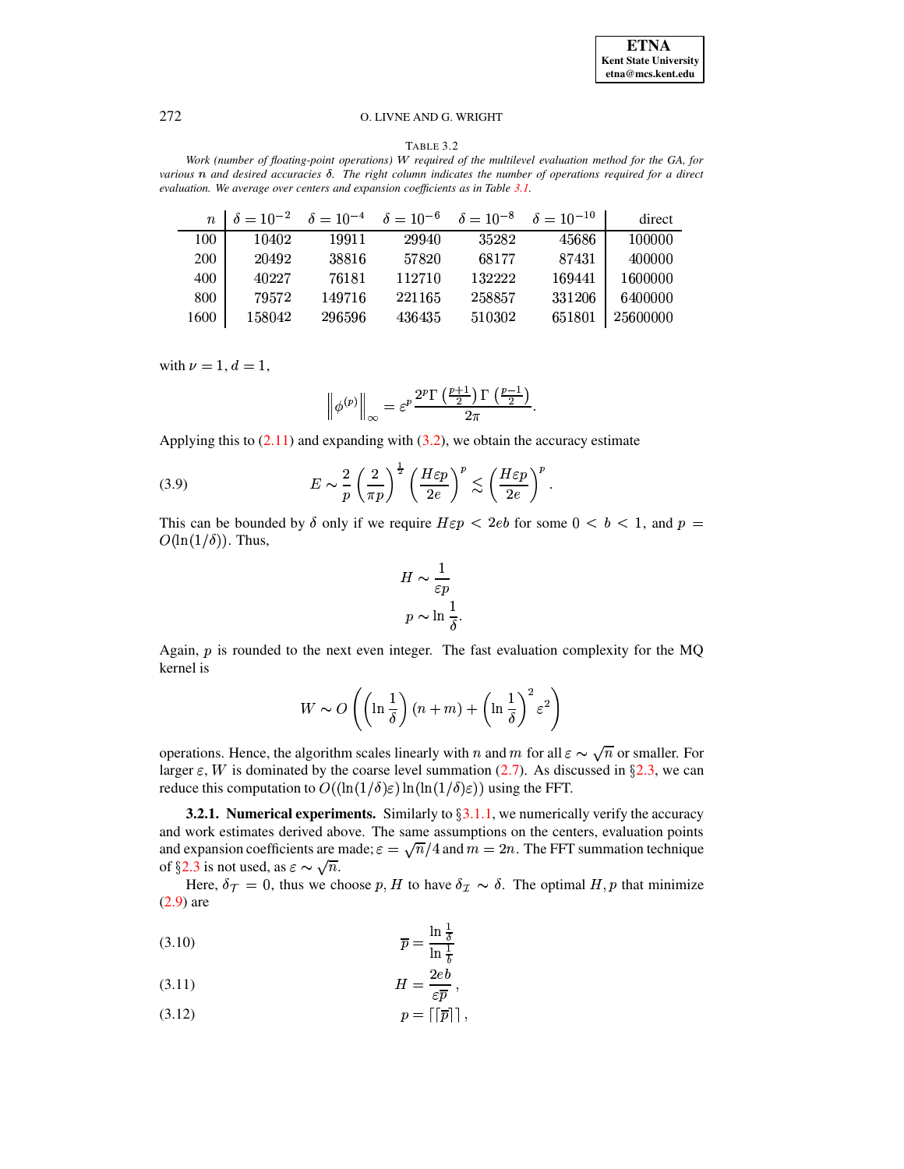#### TABLE 3.2

<span id="page-9-0"></span>*Work (number of floating-point operations) required of the multilevel evaluation method for the GA, for* various  $n$  and desired accuracies  $\delta$ . The right column indicates the number of operations required for a direct *evaluation. We average over centers and expansion coefficients as in Table [3.1.](#page-8-0)*

| $\boldsymbol{n}$ |        | $\delta = 10^{-2}$ $\delta = 10^{-4}$ $\delta = 10^{-6}$ $\delta = 10^{-8}$ $\delta = 10^{-10}$ |        |        |        | direct   |
|------------------|--------|-------------------------------------------------------------------------------------------------|--------|--------|--------|----------|
| 100              | 10402  | 19911                                                                                           | 29940  | 35282  | 45686  | 100000   |
| <b>200</b>       | 20492  | 38816                                                                                           | 57820  | 68177  | 87431  | 400000   |
| 400              | 40227  | 76181                                                                                           | 112710 | 132222 | 169441 | 1600000  |
| 800              | 79572  | 149716                                                                                          | 221165 | 258857 | 331206 | 6400000  |
| 1600             | 158042 | 296596                                                                                          | 436435 | 510302 | 651801 | 25600000 |

with  $\nu = 1, d = 1,$ 

$$
\left\|\phi^{(p)}\right\|_\infty = \varepsilon^p \frac{2^p \Gamma\left(\frac{p+1}{2}\right) \Gamma\left(\frac{p-1}{2}\right)}{2\pi}.
$$

Applying this to  $(2.11)$  and expanding with  $(3.2)$ , we obtain the accuracy estimate

(3.9) 
$$
E \sim \frac{2}{p} \left(\frac{2}{\pi p}\right)^{\frac{1}{2}} \left(\frac{H\varepsilon p}{2e}\right)^p \lesssim \left(\frac{H\varepsilon p}{2e}\right)^p.
$$

This can be bounded by  $\delta$  only if we require  $H\varepsilon p < 2eb$  for some  $0 < b < 1$ , and  $p =$  $O(\ln(1/\delta))$ . Thus,

<span id="page-9-1"></span>
$$
H \sim \frac{1}{\varepsilon p}
$$
  

$$
p \sim \ln \frac{1}{\delta}.
$$

Again,  $p$  is rounded to the next even integer. The fast evaluation complexity for the MQ kernel is

$$
W \sim O\left( \left( \ln \frac{1}{\delta} \right) (n+m) + \left( \ln \frac{1}{\delta} \right)^2 \varepsilon^2 \right)
$$

operations. Hence, the algorithm scales linearly with n and m for all  $\varepsilon \sim \sqrt{n}$  or smaller. For larger  $\varepsilon$ , W is dominated by the coarse level summation [\(2.7\)](#page-4-1). As discussed in §[2.3,](#page-6-3) we can reduce this computation to  $O((\ln(1/\delta)\varepsilon) \ln(\ln(1/\delta)\varepsilon))$  using the FFT.

<span id="page-9-3"></span>**3.2.1. Numerical experiments.** Similarly to  $\S 3.1.1$ , we numerically verify the accuracy and work estimates derived above. The same assumptions on the centers, evaluation points and expansion coefficients are made;  $\varepsilon = \sqrt{n}/4$  and  $m = 2n$ . The FFT summation technique of §[2.3](#page-6-3) is not used, as  $\varepsilon \sim \sqrt{n}$ .

Here,  $\delta_{\mathcal{T}} = 0$ , thus we choose p, H to have  $\delta_{\mathcal{I}} \sim \delta$ . The optimal H, p that minimize [\(2.9\)](#page-5-3) are

<span id="page-9-2"></span>
$$
\overline{p} = \frac{\ln \frac{1}{\delta}}{\ln \frac{1}{b}}
$$

ÐÏ3 jeQ u (3.11) (

$$
(3.12) \t\t p = \lceil \lceil \overline{p} \rceil \rceil,
$$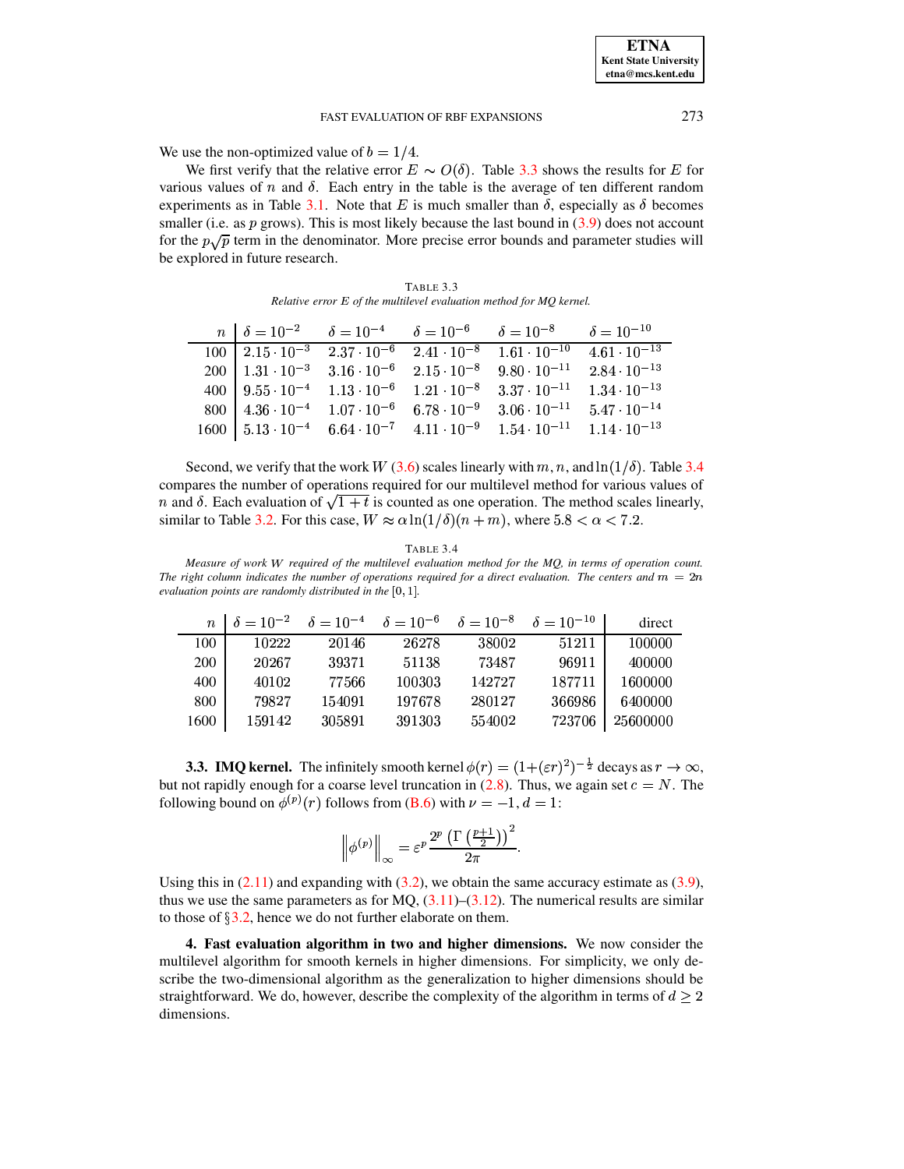We use the non-optimized value of  $b = 1/4$ .

We first verify that the relative error  $E \sim O(\delta)$ . Table [3.3](#page-10-1) shows the results for E for various values of  $n$  and  $\delta$ . Each entry in the table is the average of ten different random experiments as in Table [3.1.](#page-8-0) Note that E is much smaller than  $\delta$ , especially as  $\delta$  becomes smaller (i.e. as  $p$  grows). This is most likely because the last bound in  $(3.9)$  does not account for the  $p\sqrt{p}$  term in the denominator. More precise error bounds and parameter studies will be explored in future research.

TABLE 3.3 *Relative error E of the multilevel evaluation method for MO kernel.* 

<span id="page-10-1"></span>

|  |  | $n \mid \delta = 10^{-2}$ $\delta = 10^{-4}$ $\delta = 10^{-6}$ $\delta = 10^{-8}$ $\delta = 10^{-10}$                                                                                                      |  |
|--|--|-------------------------------------------------------------------------------------------------------------------------------------------------------------------------------------------------------------|--|
|  |  | $100\begin{array}{ l} \n2.15 \cdot 10^{-3} \quad \overline{2.37 \cdot 10^{-6}} \quad \overline{2.41 \cdot 10^{-8}} \quad \overline{1.61 \cdot 10^{-10}} \quad \overline{4.61 \cdot 10^{-13}} \n\end{array}$ |  |
|  |  | $200\begin{array}{ l} 1.31 \cdot 10^{-3} \end{array}$ $3.16 \cdot 10^{-6}$ $2.15 \cdot 10^{-8}$ $9.80 \cdot 10^{-11}$ $2.84 \cdot 10^{-13}$                                                                 |  |
|  |  | 400   $9.55 \cdot 10^{-4}$ $1.13 \cdot 10^{-6}$ $1.21 \cdot 10^{-8}$ $3.37 \cdot 10^{-11}$ $1.34 \cdot 10^{-13}$                                                                                            |  |
|  |  | $800\begin{array}{ l} 4.36\cdot 10^{-4} \end{array}$ 1.07 $\cdot 10^{-6}$ 6.78 $\cdot 10^{-9}$ 3.06 $\cdot 10^{-11}$ 5.47 $\cdot 10^{-14}$                                                                  |  |
|  |  | $1600 \mid 5.13 \cdot 10^{-4} \quad 6.64 \cdot 10^{-7} \quad 4.11 \cdot 10^{-9} \quad 1.54 \cdot 10^{-11} \quad 1.14 \cdot 10^{-13}$                                                                        |  |

Second, we verify that the work W [\(3.6\)](#page-7-4) scales linearly with  $m, n$ , and  $\ln(1/\delta)$ . Table [3.4](#page-10-2) compares the number of operations required for our multilevel method for various values of n and  $\delta$ . Each evaluation of  $\sqrt{1+t}$  is counted as one operation. The method scales linearly, similar to Table [3.2.](#page-9-0) For this case,  $W \approx \alpha \ln(1/\delta)(n+m)$ , where  $5.8 < \alpha < 7.2$ .

| A RI. |  |  |
|-------|--|--|
|-------|--|--|

<span id="page-10-2"></span>*Measure of work required of the multilevel evaluation method for the MQ, in terms of operation count. The* right column indicates the number of operations required for a direct evaluation. The centers and  $m = 2n$  $e$ valuation points are randomly distributed in the  $[0, 1]$ .

|      |        | $n \mid \delta = 10^{-2} \quad \delta = 10^{-4} \quad \delta = 10^{-6} \quad \delta = 10^{-8} \quad \delta = 10^{-10}$ |        |        |        | direct   |
|------|--------|------------------------------------------------------------------------------------------------------------------------|--------|--------|--------|----------|
| 100  | 10222  | 20146                                                                                                                  | 26278  | 38002  | 51211  | 100000   |
| 200  | 20267  | 39371                                                                                                                  | 51138  | 73487  | 96911  | 400000   |
| 400  | 40102  | 77566                                                                                                                  | 100303 | 142727 | 187711 | 1600000  |
| 800  | 79827  | 154091                                                                                                                 | 197678 | 280127 | 366986 | 6400000  |
| 1600 | 159142 | 305891                                                                                                                 | 391303 | 554002 | 723706 | 25600000 |

**3.3. <b>IMQ** kernel. The infinitely smooth kernel  $\phi(r)=(1+(\varepsilon r)^2)^{-\frac{1}{2}}$  decays as  $r\to\infty$ , but not rapidly enough for a coarse level truncation in [\(2.8\)](#page-4-2). Thus, we again set  $c = N$ . The following bound on  $\phi^{(p)}(r)$  follows from [\(B.6\)](#page-23-12) with  $\nu = -1, d = 1$ :

$$
\left\|\phi^{(p)}\right\|_{\infty}=\varepsilon^p\frac{2^p\left(\Gamma\left(\frac{p+1}{2}\right)\right)^2}{2\pi}.
$$

Using this in  $(2.11)$  and expanding with  $(3.2)$ , we obtain the same accuracy estimate as  $(3.9)$ , thus we use the same parameters as for  $MQ$ ,  $(3.11)$ – $(3.12)$ . The numerical results are similar to those of  $\S 3.2$ , hence we do not further elaborate on them.

<span id="page-10-0"></span>**4. Fast evaluation algorithm in two and higher dimensions.** We now consider the multilevel algorithm for smooth kernels in higher dimensions. For simplicity, we only describe the two-dimensional algorithm as the generalization to higher dimensions should be straightforward. We do, however, describe the complexity of the algorithm in terms of  $d \geq 2$ dimensions.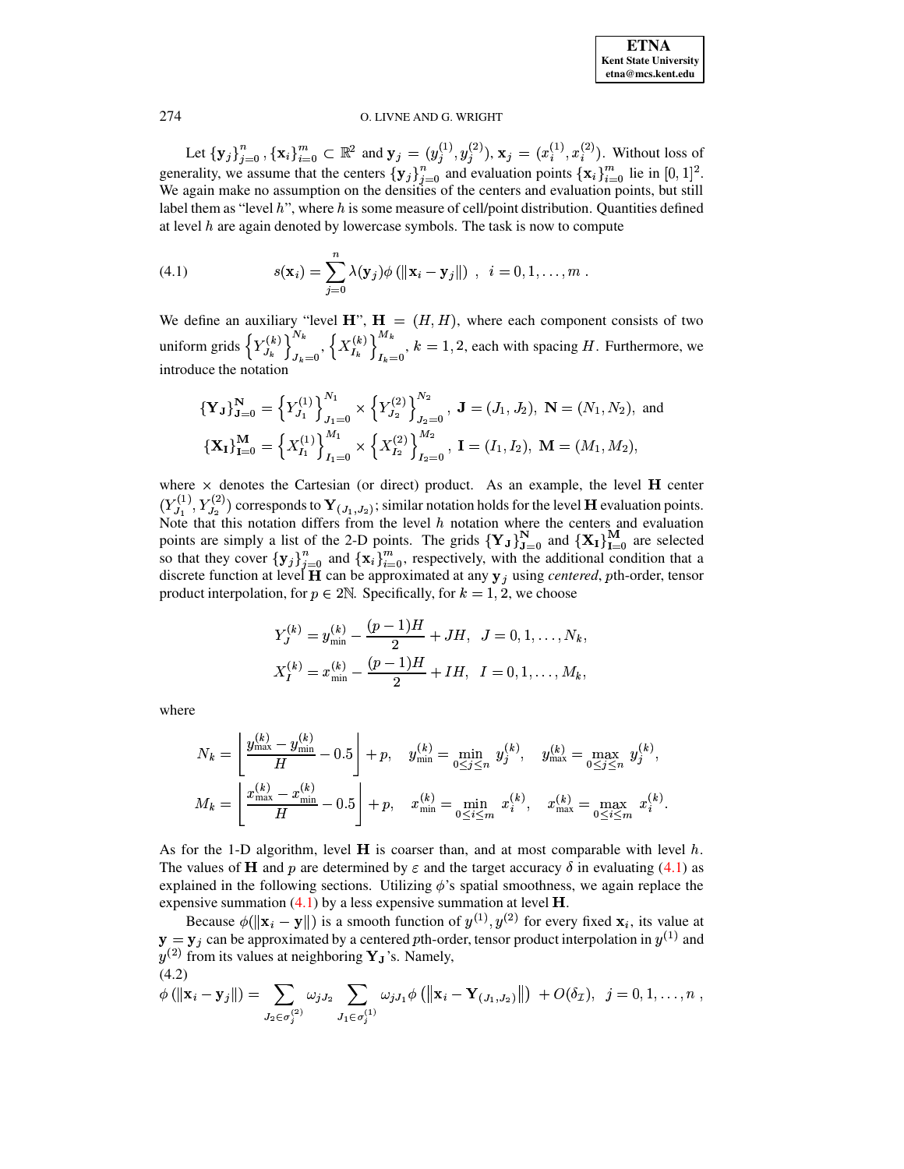<span id="page-11-0"></span>

Let  $\{y_j\}_{j=0}^n$ ,  $\{x_i\}_{i=0}^m \subset \mathbb{R}^2$  and  $y_j = (y_j^{(1)}, y_j^{(2)}), x_j = (x_i^{(1)}, x_i^{(2)})$ . Without loss of generality, we assume that the centers  $\{y_j\}_{j=0}^n$  and evaluation points  $\{x_i\}_{i=0}^m$  lie in  $[0, 1]^2$ . We again make no assumption on the densities of the centers and evaluation points, but still label them as "level  $h$ ", where  $h$  is some measure of cell/point distribution. Quantities defined at level  $h$  are again denoted by lowercase symbols. The task is now to compute

(4.1) 
$$
s(\mathbf{x}_i) = \sum_{j=0}^n \lambda(\mathbf{y}_j) \phi(||\mathbf{x}_i - \mathbf{y}_j||), \quad i = 0, 1, \dots, m
$$

We define an auxiliary "level  $H$ ",  $H = (H, H)$ , where each component consists of two uniform grids  $\left\{Y_{J_k}^{(k)}\right\}_{J_k=0}^{N_k}$ ,  $\left\{X_{I_k}^{(k)}\right\}_{I_k=0}^{N_k}$ ,  $k=1,2$ , each with spacing *H*. Furthermore, we introduce the notation introduce the notation

$$
\begin{aligned} \{\mathbf{Y}_{\mathbf{J}}\}_{\mathbf{J}=0}^{N} &= \left\{Y_{J_{1}}^{(1)}\right\}_{J_{1}=0}^{N_{1}} \times \left\{Y_{J_{2}}^{(2)}\right\}_{J_{2}=0}^{N_{2}}, \ \mathbf{J} = (J_{1}, J_{2}), \ \mathbf{N} = (N_{1}, N_{2}), \ \text{and} \\ \{\mathbf{X}_{\mathbf{I}}\}_{\mathbf{I}=0}^{M} &= \left\{X_{I_{1}}^{(1)}\right\}_{I_{1}=0}^{M_{1}} \times \left\{X_{I_{2}}^{(2)}\right\}_{I_{2}=0}^{M_{2}}, \ \mathbf{I} = (I_{1}, I_{2}), \ \mathbf{M} = (M_{1}, M_{2}), \end{aligned}
$$

where  $\times$  denotes the Cartesian (or direct) product. As an example, the level **H** center  $(Y_{J_1}^{(1)}, Y_{J_2}^{(2)})$  corresponds to  $Y_{(J_1, J_2)}$ ; similar notation holds for the level **H** evaluation points. Note that this notation differs from the level h notation where the centers and evaluation<br>points are simply a list of the 2-D points. The grids  $\{Y_J\}_{J=0}^N$  and  $\{X_I\}_{I=0}^M$  are selected<br>so that they cover  $\{y_j\}_{j=0$ product interpolation, for  $p \in 2\mathbb{N}$ . Specifically, for  $k = 1, 2$ , we choose

$$
Y_j^{(k)} = y_{\min}^{(k)} - \frac{(p-1)H}{2} + JH, \quad J = 0, 1, \dots, N_k,
$$
  

$$
X_I^{(k)} = x_{\min}^{(k)} - \frac{(p-1)H}{2} + IH, \quad I = 0, 1, \dots, M_k,
$$

where

$$
N_k = \left\lfloor \frac{y_{\text{max}}^{(k)} - y_{\text{min}}^{(k)}}{H} - 0.5 \right\rfloor + p, \quad y_{\text{min}}^{(k)} = \min_{0 \le j \le n} y_j^{(k)}, \quad y_{\text{max}}^{(k)} = \max_{0 \le j \le n} y_j^{(k)},
$$

$$
M_k = \left\lfloor \frac{x_{\text{max}}^{(k)} - x_{\text{min}}^{(k)}}{H} - 0.5 \right\rfloor + p, \quad x_{\text{min}}^{(k)} = \min_{0 \le i \le m} x_i^{(k)}, \quad x_{\text{max}}^{(k)} = \max_{0 \le i \le m} x_i^{(k)}.
$$

As for the 1-D algorithm, level  $H$  is coarser than, and at most comparable with level  $h$ . The values of **H** and p are determined by  $\varepsilon$  and the target accuracy  $\delta$  in evaluating (4.1) as explained in the following sections. Utilizing  $\phi$ 's spatial smoothness, we again replace the expensive summation  $(4.1)$  by a less expensive summation at level  $H$ .

Because  $\phi(\|\mathbf{x}_i - \mathbf{y}\|)$  is a smooth function of  $y^{(1)}, y^{(2)}$  for every fixed  $\mathbf{x}_i$ , its value at  $y = y_j$  can be approximated by a centered pth-order, tensor product interpolation in  $y^{(1)}$  and  $y^{(2)}$  from its values at neighboring  $\mathbf{Y}_J$ 's. Namely,  $(4.2)$ 

<span id="page-11-1"></span>
$$
\phi(||\mathbf{x}_i - \mathbf{y}_j||) = \sum_{J_2 \in \sigma_j^{(2)}} \omega_{jJ_2} \sum_{J_1 \in \sigma_j^{(1)}} \omega_{jJ_1} \phi(||\mathbf{x}_i - \mathbf{Y}_{(J_1, J_2)}||) + O(\delta_{\mathcal{I}}), \ \ j = 0, 1, \ldots, n
$$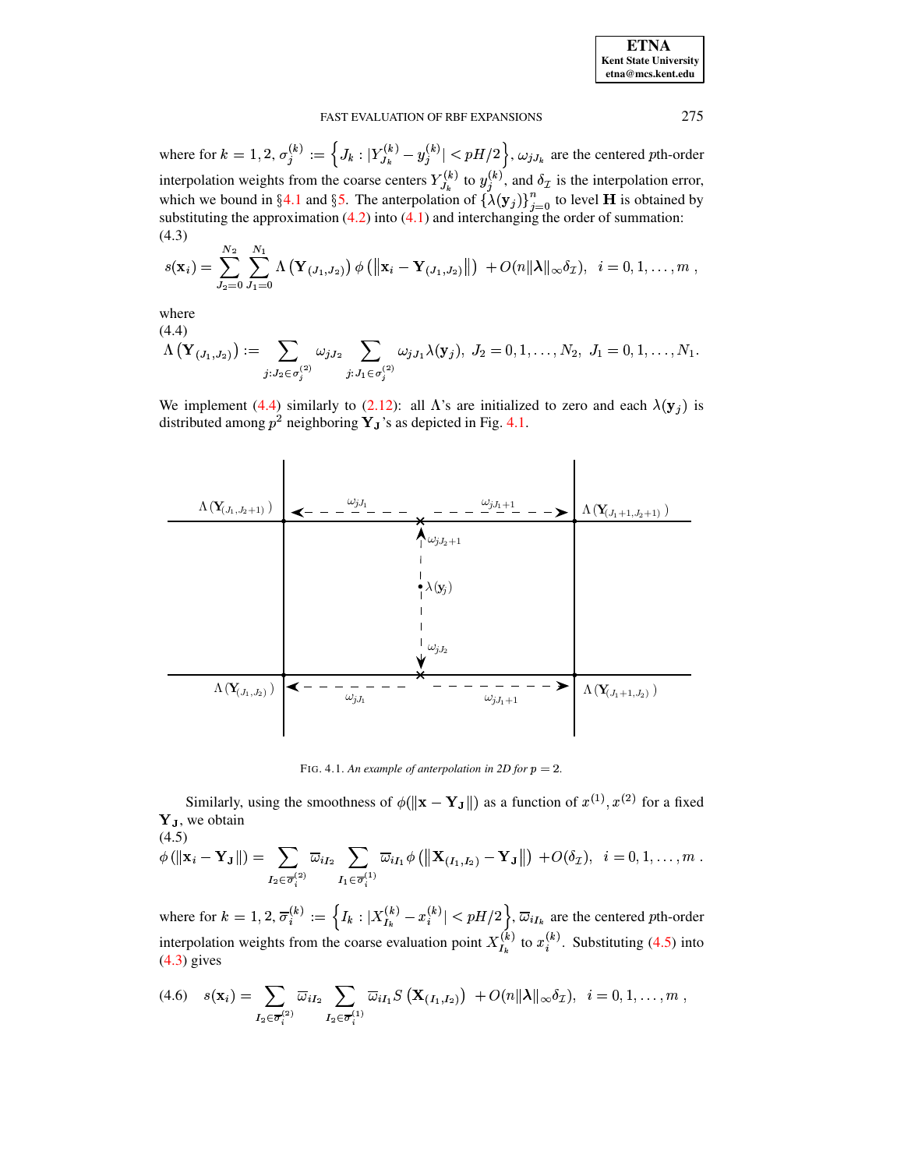<span id="page-12-3"></span>

| <b>ETNA</b>                  |
|------------------------------|
| <b>Kent State University</b> |
| etna@mcs.kent.edu            |

where for  $k = 1, 2, \sigma_j^{(k)} := \left\{ J_k : |Y_{J_k}^{(k)} - y_j^{(k)}| < pH/2 \right\}, \omega_{jJ_k}$  are the centered pth-order interpolation weights from the coarse centers  $Y_{J_k}^{(k)}$  to  $y_j^{(k)}$ , and  $\delta_{\mathcal{I}}$  is the interpolation error,<br>which we bound in §4.1 and §5. The anterpolation of  $\{\lambda(\mathbf{y}_j)\}_{j=0}^n$  to level **H** is obtained by<br>subst  $(4.3)$ 

$$
s(\mathbf{x}_i) = \sum_{J_2=0}^{N_2} \sum_{J_1=0}^{N_1} \Lambda\left(\mathbf{Y}_{(J_1,J_2)}\right) \phi\left(\left\|\mathbf{x}_i-\mathbf{Y}_{(J_1,J_2)}\right\|\right) + O(n\|\boldsymbol{\lambda}\|_{\infty} \delta_{\mathcal{I}}), \quad i=0,1,\ldots,m
$$

<span id="page-12-0"></span>where  $(4.4)$ 

$$
\Lambda\left(\mathbf{Y}_{(J_1,J_2)}\right) := \sum_{j: J_2 \in \sigma_j^{(2)}} \omega_{jJ_2} \sum_{j: J_1 \in \sigma_j^{(2)}} \omega_{jJ_1} \lambda(\mathbf{y}_j), \ J_2 = 0, 1, \ldots, N_2, \ J_1 = 0, 1, \ldots, N_1.
$$

We implement (4.4) similarly to (2.12): all  $\Lambda$ 's are initialized to zero and each  $\lambda(\mathbf{y}_j)$  is distributed among  $p^2$  neighboring  $Y_J$ 's as depicted in Fig. 4.1.



<span id="page-12-1"></span>FIG. 4.1. An example of anterpolation in 2D for  $p = 2$ .

Similarly, using the smoothness of  $\phi(\|\mathbf{x} - \mathbf{Y}_{\mathbf{J}}\|)$  as a function of  $x^{(1)}, x^{(2)}$  for a fixed Y<sub>J</sub>, we obtain

<span id="page-12-2"></span>
$$
(4.5) \phi(||\mathbf{x}_i - \mathbf{Y}_{\mathbf{J}}||) = \sum_{I_2 \in \overline{\sigma}_i^{(2)}} \overline{\omega}_{iI_2} \sum_{I_1 \in \overline{\sigma}_i^{(1)}} \overline{\omega}_{iI_1} \phi \left( \|\mathbf{X}_{(I_1,I_2)} - \mathbf{Y}_{\mathbf{J}}\|\right) + O(\delta_{\mathcal{I}}), \ \ i = 0, 1, \ldots, m.
$$

where for  $k = 1, 2, \overline{\sigma}_i^{(k)} := \left\{ I_k : |X_{I_k}^{(k)} - x_i^{(k)}| < pH/2 \right\}, \overline{\omega}_{iI_k}$  are the centered pth-order interpolation weights from the coarse evaluation point  $X_{I_k}^{(k)}$  to  $x_i^{(k)}$ . Substituting (4.5) into  $(4.3)$  gives

<span id="page-12-4"></span>
$$
(4.6) \quad s(\mathbf{x}_i) = \sum_{I_2 \in \overline{\sigma}_i^{(2)}} \overline{\omega}_{iI_2} \sum_{I_2 \in \overline{\sigma}_i^{(1)}} \overline{\omega}_{iI_1} S\left(\mathbf{X}_{(I_1,I_2)}\right) + O(n||\boldsymbol{\lambda}||_{\infty} \delta_{\mathcal{I}}), \ \ i = 0, 1, \ldots, m
$$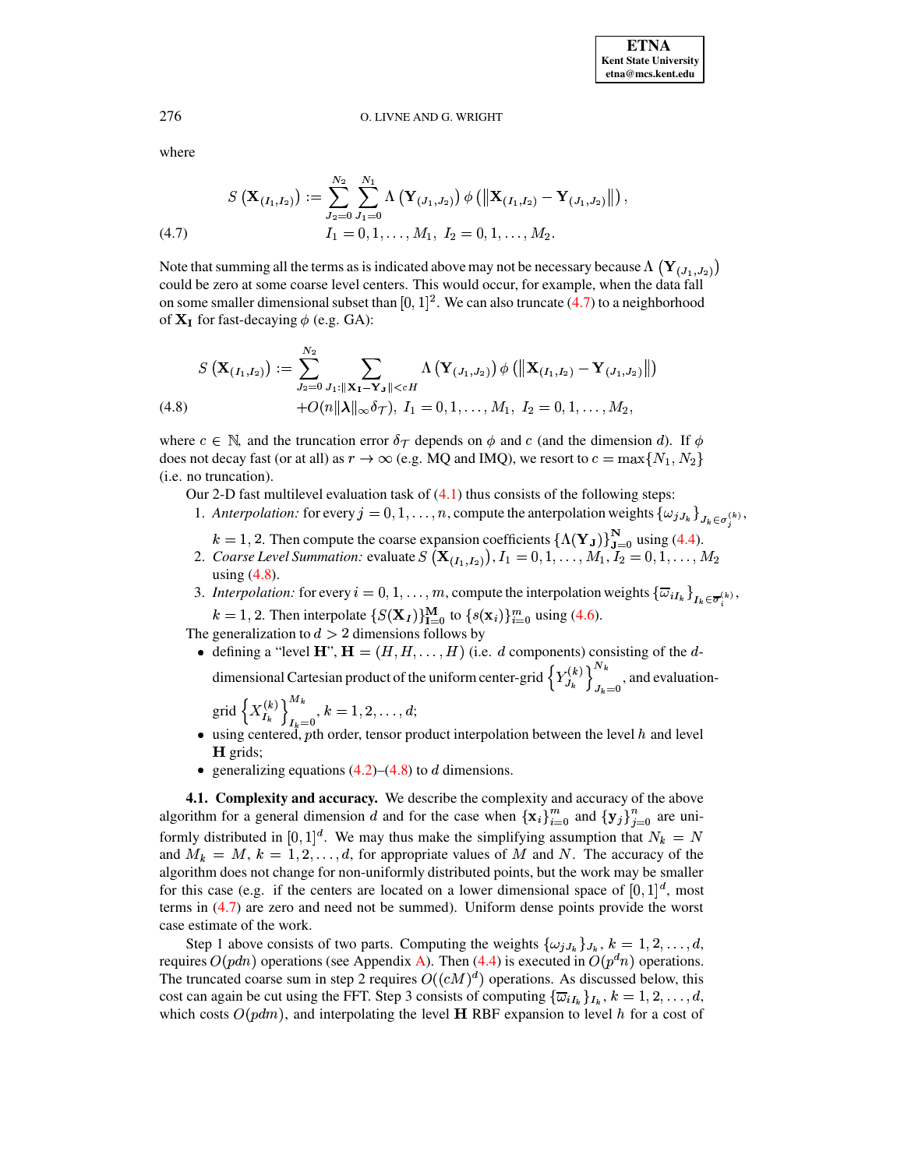where

<span id="page-13-1"></span>
$$
S\left(\mathbf{X}_{(I_1,I_2)}\right) := \sum_{J_2=0}^{N_2} \sum_{J_1=0}^{N_1} \Lambda\left(\mathbf{Y}_{(J_1,J_2)}\right) \phi\left(\left\|\mathbf{X}_{(I_1,I_2)} - \mathbf{Y}_{(J_1,J_2)}\right\|\right),
$$
\n
$$
(4.7) \qquad I_1 = 0, 1, \ldots, M_1, I_2 = 0, 1, \ldots, M_2.
$$

Note that summing all the terms as is indicated above may not be necessary because  $\Lambda(\mathbf{Y}_{(J_1,J_2)})$ could be zero at some coarse level centers. This would occur, for example, when the data fall on some smaller dimensional subset than  $[0, 1]^2$ . We can also truncate (4.7) to a neighborhood of  $X_I$  for fast-decaying  $\phi$  (e.g. GA):

<span id="page-13-2"></span>
$$
S\left(\mathbf{X}_{(I_1,I_2)}\right) := \sum_{J_2=0}^{N_2} \sum_{J_1:\|\mathbf{X}_I-\mathbf{Y}_J\|
$$

where  $c \in \mathbb{N}$ , and the truncation error  $\delta_{\mathcal{T}}$  depends on  $\phi$  and c (and the dimension d). If  $\phi$ does not decay fast (or at all) as  $r \to \infty$  (e.g. MQ and IMQ), we resort to  $c = \max\{N_1, N_2\}$ (i.e. no truncation).

Our 2-D fast multilevel evaluation task of  $(4.1)$  thus consists of the following steps:

- 1. Anterpolation: for every  $j = 0, 1, ..., n$ , compute the anterpolation weights  $\{\omega_{jJ_k}\}_{J_k \in \sigma^{(k)}},$ 
	-
- $k = 1, 2$ . Then compute the coarse expansion coefficients  $\{\Lambda(\mathbf{Y}_J)\}_{J=0}^N$  using (4.4).<br>2. Coarse Level Summation: evaluate  $S(\mathbf{X}_{(I_1,I_2)}), I_1 = 0, 1, ..., M_1, I_2 = 0, 1, ..., M_2$ using  $(4.8)$ .
- 3. Interpolation: for every  $i = 0, 1, ..., m$ , compute the interpolation weights  $\{\overline{\omega}_{iI_k}\}_{I_k \in \overline{\sigma}^{(k)}},$  $k = 1, 2$ . Then interpolate  $\{S(\mathbf{X}_I)\}_{I=0}^M$  to  $\{s(\mathbf{x}_i)\}_{i=0}^m$  using (4.6).

The generalization to  $d > 2$  dimensions follows by

• defining a "level  $H$ ",  $H = (H, H, \ldots, H)$  (i.e. d components) consisting of the ddimensional Cartesian product of the uniform center-grid  $\left\{Y_{J_k}^{(k)}\right\}_{J_k=0}^{N_k}$ , and evaluation-

grid 
$$
\left\{ X_{I_k}^{(k)} \right\}_{I_k=0}^{M_k}
$$
,  $k = 1, 2, ..., d$ ;

- $\bullet$  using centered, pth order, tensor product interpolation between the level h and level H grids;
- generalizing equations  $(4.2)$ – $(4.8)$  to d dimensions.

<span id="page-13-0"></span>4.1. Complexity and accuracy. We describe the complexity and accuracy of the above algorithm for a general dimension d and for the case when  $\{x_i\}_{i=0}^m$  and  $\{y_j\}_{j=0}^n$  are uniformly distributed in [0, 1]<sup>d</sup>. We may thus make the simplifying assumption that  $N_k = N$ and  $M_k = M, k = 1, 2, ..., d$ , for appropriate values of M and N. The accuracy of the algorithm does not change for non-uniformly distributed points, but the work may be smaller for this case (e.g. if the centers are located on a lower dimensional space of  $[0, 1]^d$ , most terms in  $(4.7)$  are zero and need not be summed). Uniform dense points provide the worst case estimate of the work.

Step 1 above consists of two parts. Computing the weights  $\{\omega_{jJ_k}\}_{J_k}, k = 1, 2, ..., d$ , requires  $O(pdn)$  operations (see Appendix A). Then (4.4) is executed in  $O(p<sup>d</sup>n)$  operations. The truncated coarse sum in step 2 requires  $O((cM)^d)$  operations. As discussed below, this cost can again be cut using the FFT. Step 3 consists of computing  $\{\overline{\omega}_{iI_k}\}_{I_k}$ ,  $k = 1, 2, ..., d$ , which costs  $O(pdm)$ , and interpolating the level **H** RBF expansion to level h for a cost of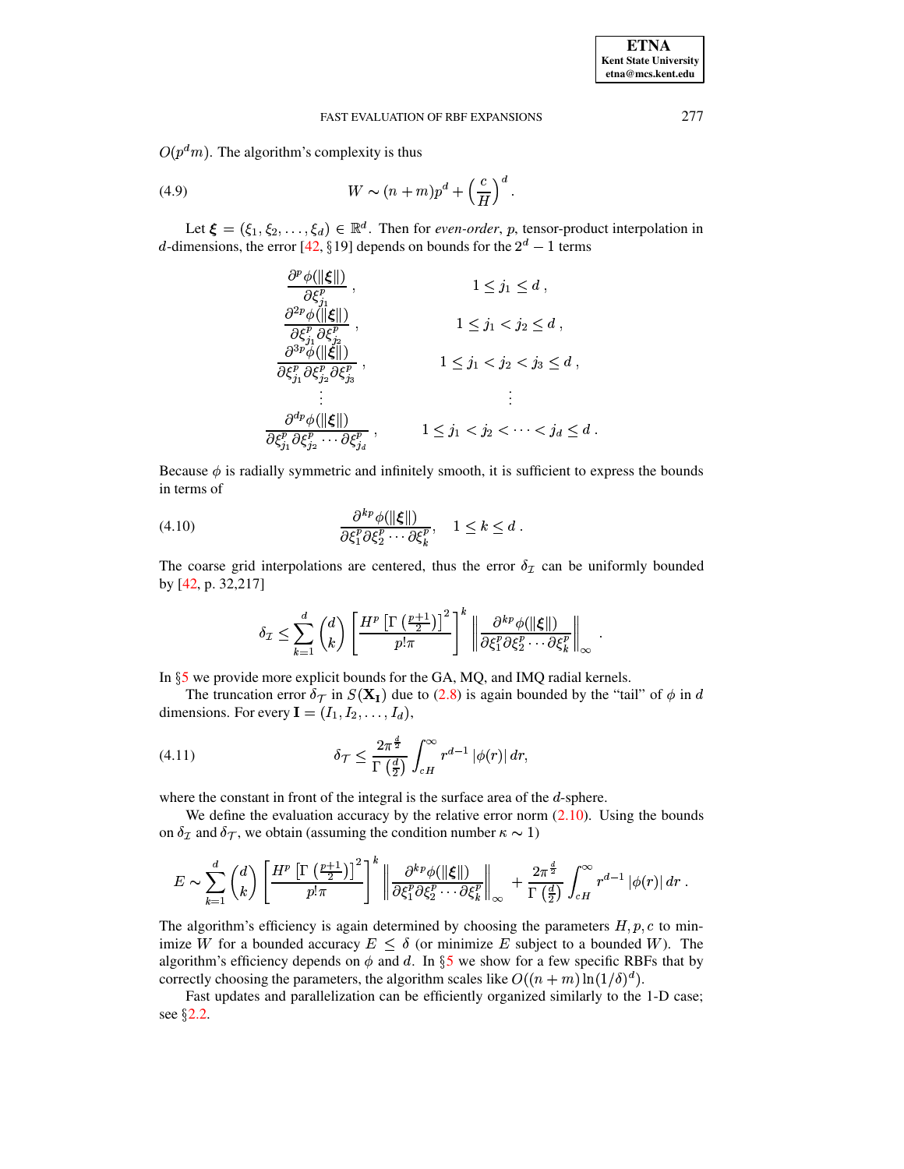$O(p<sup>d</sup>m)$ . The algorithm's complexity is thus

(4.9) 
$$
W \sim (n+m)p^d + \left(\frac{c}{H}\right)^d.
$$

Let  $\xi = (\xi_1, \xi_2, \dots, \xi_d) \in \mathbb{R}^d$ . Then for *even-order*, *p*, tensor-product interpolation in d-dimensions, the error [42, §19] depends on bounds for the  $2^d - 1$  terms

<span id="page-14-2"></span>
$$
\frac{\partial^p \phi(||\xi||)}{\partial \xi_j^p}, \qquad 1 \le j_1 \le d,
$$
\n
$$
\frac{\partial^2 p \phi(||\xi||)}{\partial \xi_j^p \partial \xi_{j_2}^p}, \qquad 1 \le j_1 < j_2 \le d,
$$
\n
$$
\frac{\partial^3 p \phi(||\xi||)}{\partial \xi_j^p \partial \xi_{j_2}^p \partial \xi_{j_3}^p}, \qquad 1 \le j_1 < j_2 < j_3 \le d,
$$
\n
$$
\vdots \qquad \vdots
$$
\n
$$
\frac{\partial^{dp} \phi(||\xi||)}{\partial \xi_{j_1}^p \partial \xi_{j_2}^p \cdots \partial \xi_{j_d}^p}, \qquad 1 \le j_1 < j_2 < \cdots < j_d \le d
$$

<span id="page-14-1"></span>Because  $\phi$  is radially symmetric and infinitely smooth, it is sufficient to express the bounds in terms of

$$
(4.10) \qquad \qquad \frac{\partial^{kp}\phi(||\xi||)}{\partial \xi_1^p \partial \xi_2^p \cdots \partial \xi_k^p}, \quad 1 \leq k \leq d \; .
$$

The coarse grid interpolations are centered, thus the error  $\delta_{\mathcal{I}}$  can be uniformly bounded by [42, p. 32,217]

<span id="page-14-0"></span>
$$
\delta_{\mathcal{I}} \leq \sum_{k=1}^{d} \binom{d}{k} \left[ \frac{H^p \left[ \Gamma \left( \frac{p+1}{2} \right) \right]^2}{p!\pi} \right]^k \left\| \frac{\partial^{kp} \phi(\|\xi\|)}{\partial \xi_1^p \partial \xi_2^p \cdots \partial \xi_k^p} \right\|_{\infty}
$$

In  $\S$ 5 we provide more explicit bounds for the GA, MQ, and IMQ radial kernels.

The truncation error  $\delta_{\mathcal{T}}$  in  $S(\mathbf{X}_I)$  due to (2.8) is again bounded by the "tail" of  $\phi$  in d dimensions. For every  $I = (I_1, I_2, \dots, I_d)$ ,

(4.11) 
$$
\delta \tau \leq \frac{2\pi^{\frac{d}{2}}}{\Gamma\left(\frac{d}{2}\right)} \int_{cH}^{\infty} r^{d-1} |\phi(r)| dr,
$$

where the constant in front of the integral is the surface area of the  $d$ -sphere.

We define the evaluation accuracy by the relative error norm  $(2.10)$ . Using the bounds on  $\delta_{\mathcal{I}}$  and  $\delta_{\mathcal{T}}$ , we obtain (assuming the condition number  $\kappa \sim 1$ )

$$
E \sim \sum_{k=1}^d \binom{d}{k} \left[ \frac{H^p \left[ \Gamma \left( \frac{p+1}{2} \right) \right]^2}{p! \pi} \right]^k \left\| \frac{\partial^{kp} \phi(\|\xi\|)}{\partial \xi_1^p \partial \xi_2^p \cdots \partial \xi_k^p} \right\|_{\infty} + \frac{2\pi^{\frac{d}{2}}}{\Gamma \left( \frac{d}{2} \right)} \int_{cH}^{\infty} r^{d-1} \left| \phi(r) \right| dr \; .
$$

The algorithm's efficiency is again determined by choosing the parameters  $H, p, c$  to minimize W for a bounded accuracy  $E \le \delta$  (or minimize E subject to a bounded W). The algorithm's efficiency depends on  $\phi$  and d. In §5 we show for a few specific RBFs that by correctly choosing the parameters, the algorithm scales like  $O((n + m) \ln(1/\delta)^d)$ .

Fast updates and parallelization can be efficiently organized similarly to the 1-D case; see  $\S$ 2.2.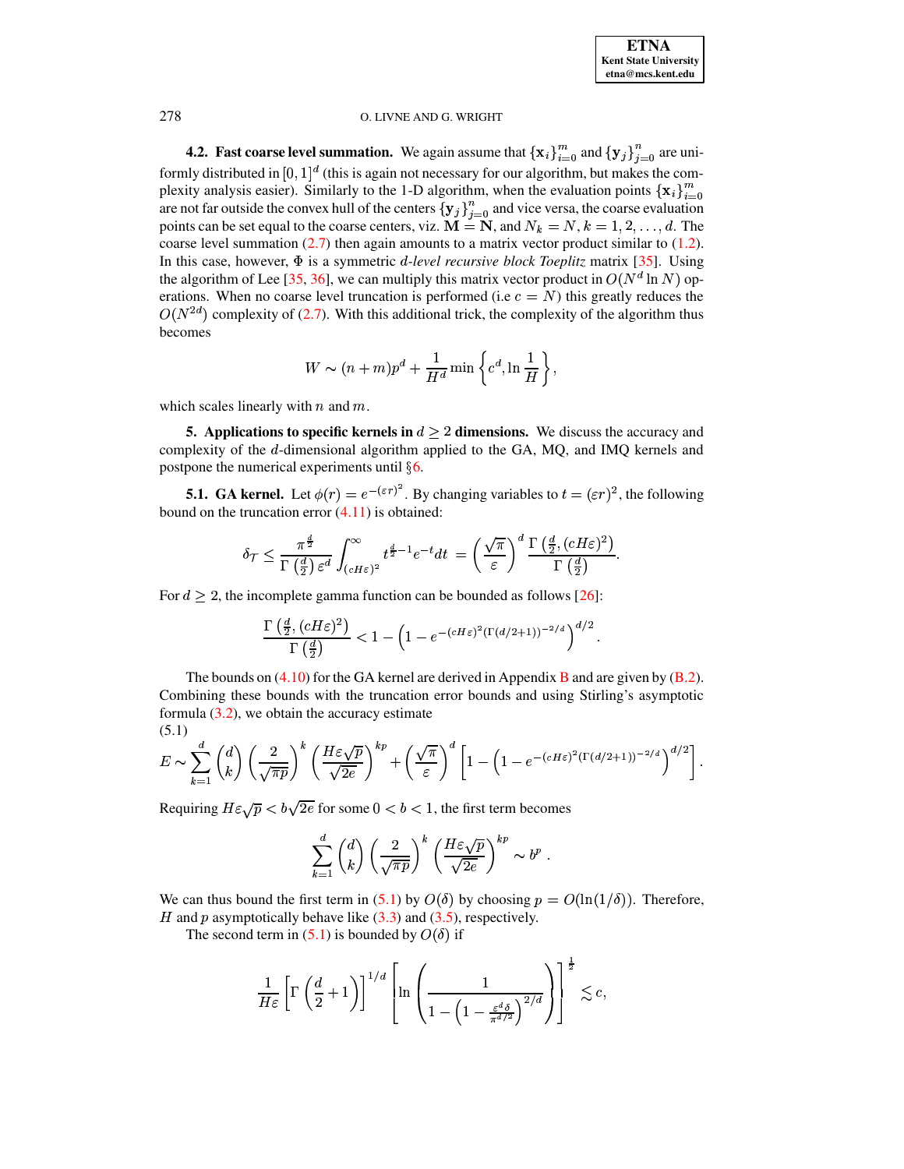<span id="page-15-2"></span>**4.2.** Fast coarse level summation. We again assume that  $\{\mathbf{x}_i\}_{i=0}^m$  and  $\{\mathbf{y}_j\}_{i=0}^n$  are uniformly distributed in  $[0,1]^d$  (this is again not necessary for our algorithm, but makes the complexity analysis easier). Similarly to the 1-D algorithm, when the evaluation points  $\{x_i\}_{i=0}^m$ are not far outside the convex hull of the centers  ${y_j}_{j=0}^n$  and vice versa, the coarse evaluation points can be set equal to the coarse centers, viz.  $\mathbf{M} = \mathbf{N}$ , and  $N_k = N$ ,  $k = 1, 2, ..., d$ . The coarse level summation [\(2.7\)](#page-4-1) then again amounts to a matrix vector product similar to [\(1.2\)](#page-0-0).<br>In this case, however,  $\Phi$  is a symmetric *d-level recursive block Toeplitz* matrix [35]. Using In this case, however,  $\Phi$  is a symmetric *d-level recursive block Toeplitz* matrix [\[35\]](#page-24-24). Using the algorithm of Lee [\[35,](#page-24-24) [36\]](#page-24-25), we can multiply this matrix vector product in  $O(N^d \ln N)$  operations. When no coarse level truncation is performed (i.e  $c = N$ ) this greatly reduces the  $O(N^{2d})$  complexity of [\(2.7\)](#page-4-1). With this additional trick, the complexity of the algorithm thus becomes

$$
W \sim (n+m)p^d + \frac{1}{H^d} \min \left\{ c^d, \ln \frac{1}{H} \right\},\,
$$

<span id="page-15-0"></span>which scales linearly with  $n$  and  $m$ .

**5.** Applications to specific kernels in  $d \geq 2$  dimensions. We discuss the accuracy and complexity of the d-dimensional algorithm applied to the GA, MQ, and IMQ kernels and postpone the numerical experiments until  $§ 6$ .

**5.1. GA** kernel. Let  $\phi(r) = e^{-(\varepsilon r)^2}$ . By changing variables to  $t = (\varepsilon r)^2$ , the following bound on the truncation error  $(4.11)$  is obtained:

$$
\delta_{\mathcal{T}} \leq \frac{\pi^{\frac{d}{2}}}{\Gamma\left(\frac{d}{2}\right) \varepsilon^d} \int_{(cH\varepsilon)^2}^{\infty} t^{\frac{d}{2}-1} e^{-t} dt = \left(\frac{\sqrt{\pi}}{\varepsilon}\right)^d \frac{\Gamma\left(\frac{d}{2}, (cH\varepsilon)^2\right)}{\Gamma\left(\frac{d}{2}\right)}.
$$

For  $d \geq 2$ , the incomplete gamma function can be bounded as follows [\[26\]](#page-24-26):

<span id="page-15-1"></span>
$$
\frac{\Gamma\left(\frac{d}{2}, (cH\varepsilon)^2\right)}{\Gamma\left(\frac{d}{2}\right)} < 1 - \left(1 - e^{-(cH\varepsilon)^2(\Gamma(d/2+1))^{-2/d}}\right)^{d/2}.
$$

The bounds on  $(4.10)$  for the GA kernel are derived in Appendix **[B](#page-21-0)** and are given by  $(B.2)$ . Combining these bounds with the truncation error bounds and using Stirling's asymptotic formula  $(3.2)$ , we obtain the accuracy estimate (5.1)

$$
E \sim \sum_{k=1}^d \binom{d}{k} \left(\frac{2}{\sqrt{\pi p}}\right)^k \left(\frac{H\varepsilon \sqrt{p}}{\sqrt{2e}}\right)^{kp} + \left(\frac{\sqrt{\pi}}{\varepsilon}\right)^d \left[1 - \left(1 - e^{-(cH\varepsilon)^2 (\Gamma(d/2+1))^{-2/d}}\right)^{d/2}\right].
$$

Requiring  $H\varepsilon\sqrt{p} < b\sqrt{2e}$  for some  $0 < b < 1$ , the first term becomes

$$
\sum_{k=1}^d \binom{d}{k} \left(\frac{2}{\sqrt{\pi p}}\right)^k \left(\frac{H\varepsilon \sqrt{p}}{\sqrt{2e}}\right)^{kp} \sim b^p.
$$

We can thus bound the first term in [\(5.1\)](#page-15-1) by  $O(\delta)$  by choosing  $p = O(\ln(1/\delta))$ . Therefore, H and  $p$  asymptotically behave like  $(3.3)$  and  $(3.5)$ , respectively.

The second term in [\(5.1\)](#page-15-1) is bounded by  $O(\delta)$  if

$$
\frac{1}{H\varepsilon}\left[\Gamma\left(\frac{d}{2}+1\right)\right]^{1/d}\left[\ln\left(\frac{1}{1-\left(1-\frac{\varepsilon^d\delta}{\pi^{d/2}}\right)^{2/d}}\right)\right]^{\frac{1}{2}}\lesssim c,
$$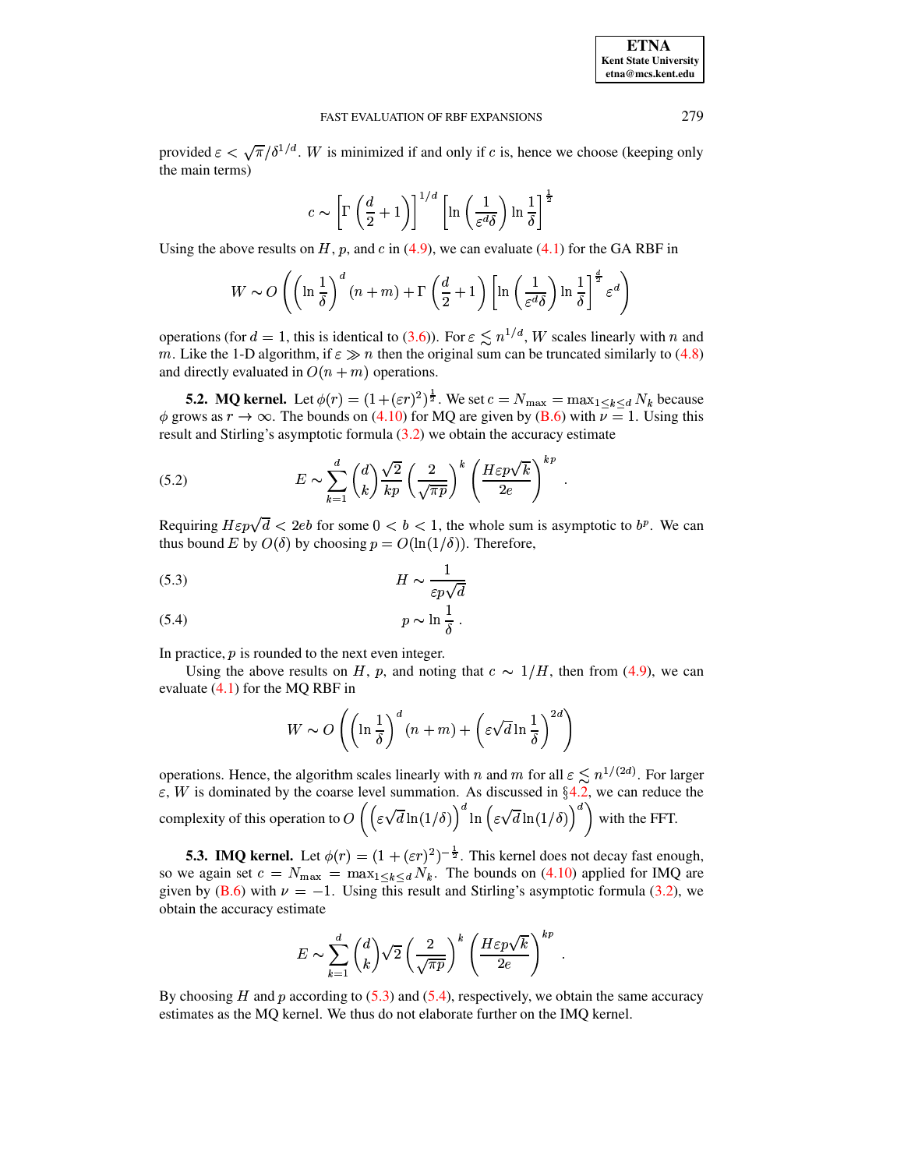| <b>ETNA</b>                  |
|------------------------------|
| <b>Kent State University</b> |
| etna@mcs.kent.edu            |

provided  $\varepsilon < \sqrt{\pi}/\delta^{1/d}$ . W is minimized if and only if c is, hence we choose (keeping only the main terms)

$$
c \sim \left[ \Gamma \left( \frac{d}{2} + 1 \right) \right]^{1/d} \left[ \ln \left( \frac{1}{\varepsilon^d \delta} \right) \ln \frac{1}{\delta} \right]^{\frac{1}{2}}
$$

Using the above results on  $H$ ,  $p$ , and  $c$  in [\(4.9\)](#page-14-2), we can evaluate [\(4.1\)](#page-11-0) for the GA RBF in

$$
W \sim O\left(\left(\ln\frac{1}{\delta}\right)^d (n+m) + \Gamma\left(\frac{d}{2} + 1\right) \left[\ln\left(\frac{1}{\varepsilon^d \delta}\right) \ln\frac{1}{\delta}\right]^{\frac{d}{2}} \varepsilon^d\right)
$$

operations (for  $d = 1$ , this is identical to [\(3.6\)](#page-7-4)). For  $\varepsilon \lesssim n^{1/d}$ , W scales linearly with n and m. Like the 1-D algorithm, if  $\varepsilon \gg n$  then the original sum can be truncated similarly to [\(4.8\)](#page-13-2) and directly evaluated in  $O(n + m)$  operations.

**5.2. MQ kernel.** Let  $\phi(r) = (1+(\varepsilon r)^2)^{\frac{1}{2}}$ . We set  $c = N_{\text{max}} = \max_{1 \le k \le d} N_k$  because  $\phi$  grows as  $r \to \infty$ . The bounds on [\(4.10\)](#page-14-1) for MQ are given by [\(B.6\)](#page-23-12) with  $v = 1$ . Using this result and Stirling's asymptotic formula [\(3.2\)](#page-7-5) we obtain the accuracy estimate

<span id="page-16-1"></span>(5.2) 
$$
E \sim \sum_{k=1}^{d} {d \choose k} \frac{\sqrt{2}}{kp} \left(\frac{2}{\sqrt{\pi p}}\right)^k \left(\frac{H\varepsilon p\sqrt{k}}{2e}\right)^{kp}.
$$

Requiring  $H\varepsilon p\sqrt{d} < 2eb$  for some  $0 < b < 1$ , the whole sum is asymptotic to  $b^p$ . We can thus bound E by  $O(\delta)$  by choosing  $p = O(\ln(1/\delta))$ . Therefore,

<span id="page-16-0"></span>
$$
(5.3)\t\t\t\t\tH \sim \frac{1}{\varepsilon p \sqrt{d}}
$$

$$
(5.4) \t\t\t p \sim \ln \frac{1}{\delta} \t.
$$

In practice,  $p$  is rounded to the next even integer.

Using the above results on H, p, and noting that  $c \sim 1/H$ , then from [\(4.9\)](#page-14-2), we can evaluate [\(4.1\)](#page-11-0) for the MQ RBF in

$$
W \sim O\left(\left(\ln \frac{1}{\delta}\right)^d (n+m) + \left(\varepsilon \sqrt{d} \ln \frac{1}{\delta}\right)^{2d}\right)
$$

operations. Hence, the algorithm scales linearly with n and m for all  $\epsilon \lesssim n^{1/(2d)}$ . For larger  $\varepsilon$ , W is dominated by the coarse level summation. As discussed in §[4.2,](#page-15-2) we can reduce the complexity of this operation to  $O\left(\left(\varepsilon\sqrt{d}\ln(1/\delta)\right) \right) \ln\left(\varepsilon\sqrt{d}\ln(1/\delta)\right)$  $\ln\left(\epsilon \sqrt{d}\ln(1/\delta)\right)$  with #  $\int$  with the FFT.

**5.3. IMQ kernel.** Let  $\phi(r) = (1 + (\varepsilon r)^2)^{-\frac{1}{2}}$ . This kernel does not decay fast enough, so we again set  $c = N_{\text{max}} = \max_{1 \le k \le d} N_k$ . The bounds on [\(4.10\)](#page-14-1) applied for IMQ are given by [\(B.6\)](#page-23-12) with  $\nu = -1$ . Using this result and Stirling's asymptotic formula [\(3.2\)](#page-7-5), we obtain the accuracy estimate

$$
E \sim \sum_{k=1}^{d} {d \choose k} \sqrt{2} \left(\frac{2}{\sqrt{\pi p}}\right)^k \left(\frac{H \varepsilon p \sqrt{k}}{2e}\right)^{kp} .
$$

By choosing  $H$  and  $p$  according to [\(5.3\)](#page-16-0) and [\(5.4\)](#page-16-0), respectively, we obtain the same accuracy estimates as the MQ kernel. We thus do not elaborate further on the IMQ kernel.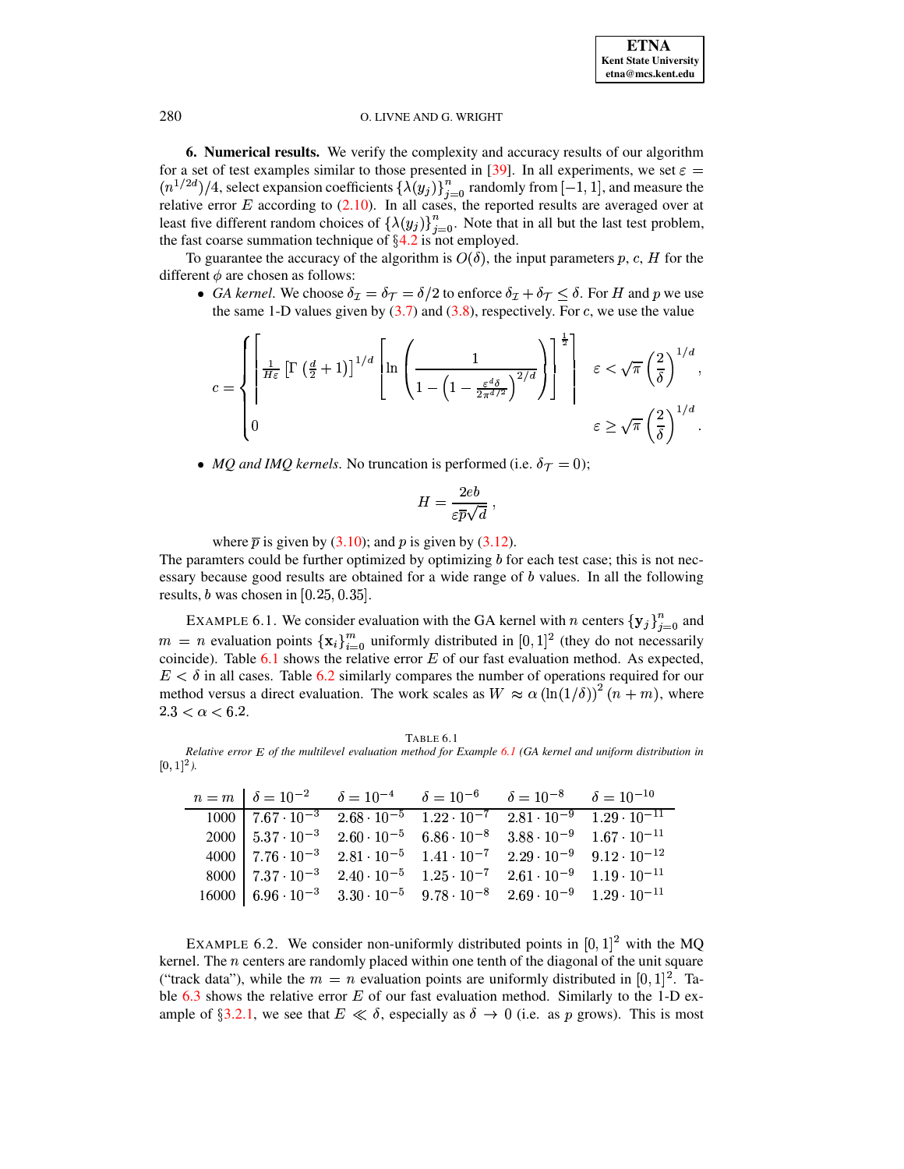<span id="page-17-0"></span>6. Numerical results. We verify the complexity and accuracy results of our algorithm for a set of test examples similar to those presented in [39]. In all experiments, we set  $\varepsilon =$  $(n^{1/2d})/4$ , select expansion coefficients  $\{\lambda(y_j)\}_{j=0}^n$  randomly from  $[-1, 1]$ , and measure the relative error E according to (2.10). In all cases, the reported results are averaged over at least five different random choices of  $\{\lambda(y_j)\}_{j=0}^n$ . Note that in all but the last test problem, the fast coarse summation technique of  $\S 4.2$  is not employed.

To guarantee the accuracy of the algorithm is  $O(\delta)$ , the input parameters p, c, H for the different  $\phi$  are chosen as follows:

• GA kernel. We choose  $\delta_{\mathcal{I}} = \delta_{\mathcal{T}} = \delta/2$  to enforce  $\delta_{\mathcal{I}} + \delta_{\mathcal{T}} < \delta$ . For H and p we use the same 1-D values given by  $(3.7)$  and  $(3.8)$ , respectively. For c, we use the value

$$
c = \left\{ \begin{bmatrix} \frac{1}{H\varepsilon} \left[ \Gamma \left( \frac{d}{2} + 1 \right) \right]^{1/d} \left[ \ln \left( \frac{1}{1 - \left( 1 - \frac{\varepsilon^d \delta}{2\pi^{d/2}} \right)^{2/d}} \right) \right]^{\frac{1}{2}} \right\} & \varepsilon < \sqrt{\pi} \left( \frac{2}{\delta} \right)^{1/d}, \\ 0 & \varepsilon \geq \sqrt{\pi} \left( \frac{2}{\delta} \right)^{1/d} .\end{bmatrix}
$$

• MQ and IMQ kernels. No truncation is performed (i.e.  $\delta_{\mathcal{T}} = 0$ );

$$
H = \frac{2eb}{\varepsilon \overline{p}\sqrt{d}} \ ,
$$

where  $\bar{p}$  is given by (3.10); and p is given by (3.12).

The paramters could be further optimized by optimizing  $b$  for each test case; this is not necessary because good results are obtained for a wide range of  $b$  values. In all the following results, *b* was chosen in  $[0.25, 0.35]$ .

<span id="page-17-2"></span>EXAMPLE 6.1. We consider evaluation with the GA kernel with *n* centers  ${y_j}_{j=0}^n$  and  $m = n$  evaluation points  $\{x_i\}_{i=0}^m$  uniformly distributed in [0, 1]<sup>2</sup> (they do not necessarily coincide). Table  $6.1$  shows the relative error  $E$  of our fast evaluation method. As expected,  $E < \delta$  in all cases. Table 6.2 similarly compares the number of operations required for our method versus a direct evaluation. The work scales as  $W \approx \alpha (\ln(1/\delta))^2 (n + m)$ , where  $2.3 < \alpha < 6.2$ .

**TABLE 6.1** 

<span id="page-17-1"></span>Relative error E of the multilevel evaluation method for Example 6.1 (GA kernel and uniform distribution in  $[0, 1]$ <sup>2</sup>).

| $n = m \begin{bmatrix} 1 & \delta = 10^{-2} \\ 0 & \delta = 10^{-4} \\ 0 & \delta = 10^{-6} \\ 0 & \delta = 10^{-8} \\ 0 & \delta = 10^{-10} \\ 0 & \delta = 10^{-10} \\ 0 & \delta = 10^{-10} \\ 0 & \delta = 10^{-10} \\ 0 & \delta = 10^{-10} \\ 0 & \delta = 10^{-10} \\ 0 & \delta = 10^{-10} \\ 0 & \delta = 10^{-10} \\ 0 & \delta = 10^{-10} \\ 0 & \delta = 10^{-10} \\ 0 & \delta = 10^{-10} \\ 0 & \delta$ |  |  |
|-----------------------------------------------------------------------------------------------------------------------------------------------------------------------------------------------------------------------------------------------------------------------------------------------------------------------------------------------------------------------------------------------------------------------|--|--|
| $1000$   $7.67 \cdot 10^{-3}$ $2.68 \cdot 10^{-5}$ $1.22 \cdot 10^{-7}$ $2.81 \cdot 10^{-9}$ $1.29 \cdot 10^{-11}$                                                                                                                                                                                                                                                                                                    |  |  |
| $2000\begin{array}{l} 5.37\cdot 10^{-3} \\ 2.60\cdot 10^{-5} \\ 6.86\cdot 10^{-8} \\ 3.88\cdot 10^{-9} \\ 1.67\cdot 10^{-11} \\ \end{array}$                                                                                                                                                                                                                                                                          |  |  |
| $4000$   $7.76 \cdot 10^{-3}$ $2.81 \cdot 10^{-5}$ $1.41 \cdot 10^{-7}$ $2.29 \cdot 10^{-9}$ $9.12 \cdot 10^{-12}$                                                                                                                                                                                                                                                                                                    |  |  |
| $8000$   $7.37 \cdot 10^{-3}$ $2.40 \cdot 10^{-5}$ $1.25 \cdot 10^{-7}$ $2.61 \cdot 10^{-9}$ $1.19 \cdot 10^{-11}$                                                                                                                                                                                                                                                                                                    |  |  |
| $16000$   $6.96 \cdot 10^{-3}$ $3.30 \cdot 10^{-5}$ $9.78 \cdot 10^{-8}$ $2.69 \cdot 10^{-9}$ $1.29 \cdot 10^{-11}$                                                                                                                                                                                                                                                                                                   |  |  |

<span id="page-17-3"></span>EXAMPLE 6.2. We consider non-uniformly distributed points in  $[0,1]^2$  with the MQ kernel. The  $n$  centers are randomly placed within one tenth of the diagonal of the unit square ("track data"), while the  $m = n$  evaluation points are uniformly distributed in [0, 1]<sup>2</sup>. Table 6.3 shows the relative error  $E$  of our fast evaluation method. Similarly to the 1-D example of §3.2.1, we see that  $E \ll \delta$ , especially as  $\delta \to 0$  (i.e. as p grows). This is most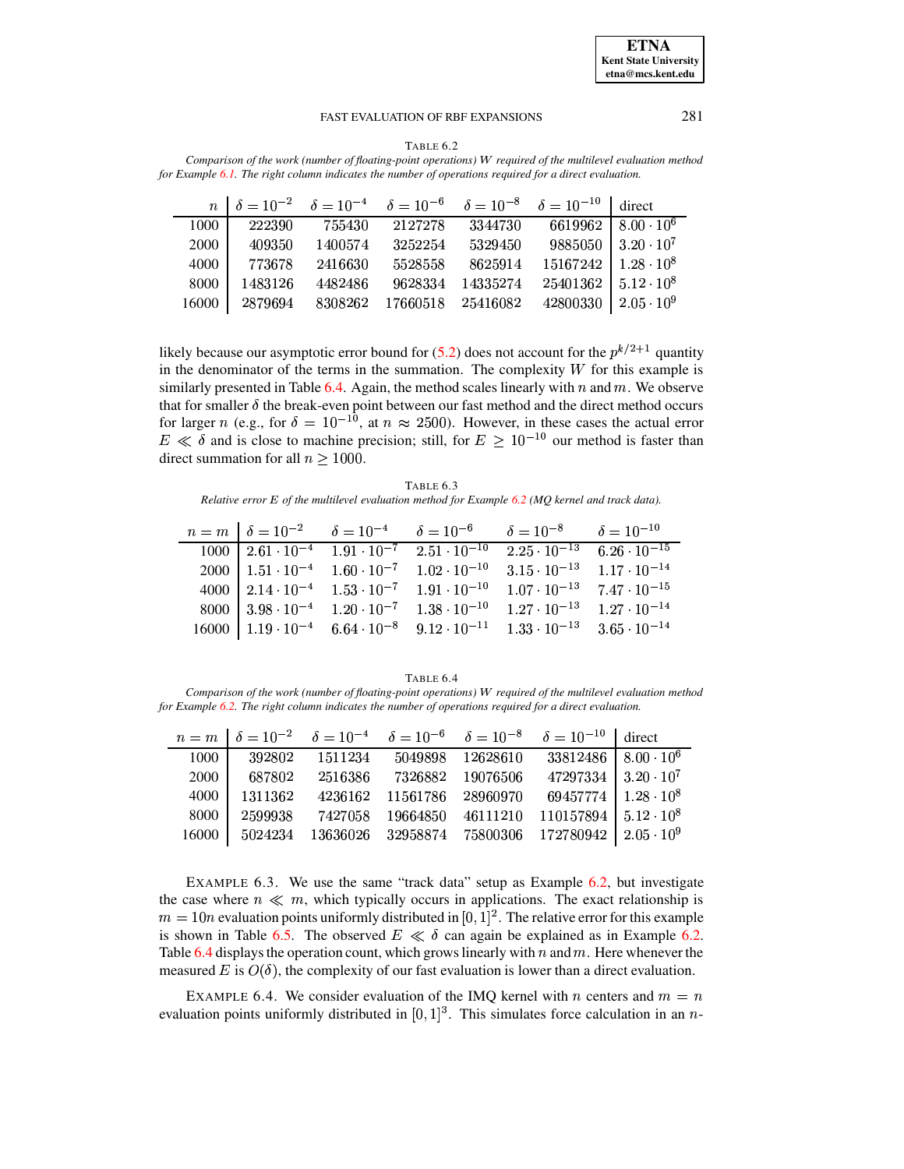<span id="page-18-0"></span>

| TABLE 6.2                                                                                                   |
|-------------------------------------------------------------------------------------------------------------|
| Comparison of the work (number of floating-point operations) W required of the multilevel evaluation method |
| for Example 6.1. The right column indicates the number of operations required for a direct evaluation.      |

|       |         |         |                   |          | $n \mid \delta = 10^{-2} \quad \delta = 10^{-4} \quad \delta = 10^{-6} \quad \delta = 10^{-8} \quad \delta = 10^{-10}$ direct |                                        |
|-------|---------|---------|-------------------|----------|-------------------------------------------------------------------------------------------------------------------------------|----------------------------------------|
| 1000  | 222390  | 755430  | 2127278           | 3344730  |                                                                                                                               | 6619962   $8.00 \cdot \overline{10^6}$ |
| 2000  | 409350  | 1400574 | 3252254           | 5329450  |                                                                                                                               | $9885050$   $3.20 \cdot 10^7$          |
| 4000  | 773678  | 2416630 | 5528558           | 8625914  | $15167242$   $1.28 \cdot 10^8$                                                                                                |                                        |
| 8000  | 1483126 | 4482486 | 9628334           | 14335274 | $25401362$   $5.12 \cdot 10^8$                                                                                                |                                        |
| 16000 | 2879694 | 8308262 | 17660518 25416082 |          | 42800330   $2.05 \cdot 10^9$                                                                                                  |                                        |

likely because our asymptotic error bound for (5.2) does not account for the  $p^{k/2+1}$  quantity in the denominator of the terms in the summation. The complexity  $W$  for this example is similarly presented in Table 6.4. Again, the method scales linearly with  $n$  and  $m$ . We observe that for smaller  $\delta$  the break-even point between our fast method and the direct method occurs<br>for larger n (e.g., for  $\delta = 10^{-10}$ , at  $n \approx 2500$ ). However, in these cases the actual error  $E \ll \delta$  and is close to machine precision; still, for  $E \ge 10^{-10}$  our method is faster than direct summation for all  $n > 1000$ .

TABLE 6.3 Relative error  $E$  of the multilevel evaluation method for Example 6.2 (MQ kernel and track data).

<span id="page-18-1"></span>

|                                                  |                                                                                   | $n = m$ $\delta = 10^{-2}$ $\delta = 10^{-4}$ $\delta = 10^{-6}$ $\delta = 10^{-8}$ $\delta = 10^{-10}$               |  |
|--------------------------------------------------|-----------------------------------------------------------------------------------|-----------------------------------------------------------------------------------------------------------------------|--|
|                                                  | $1000 \mid 2.61 \cdot 10^{-4} \quad 1.91 \cdot 10^{-7} \quad 2.51 \cdot 10^{-10}$ | $2.25 \cdot 10^{-13}$ 6.26 $\cdot 10^{-15}$                                                                           |  |
|                                                  | 2000   $1.51 \cdot 10^{-4}$ $1.60 \cdot 10^{-7}$ $1.02 \cdot 10^{-10}$            | $3.15 \cdot 10^{-13}$ $1.17 \cdot 10^{-14}$                                                                           |  |
| 4000   $2.14 \cdot 10^{-4}$ $1.53 \cdot 10^{-7}$ | $1.91 \cdot 10^{-10}$                                                             | $1.07 \cdot 10^{-13}$ $7.47 \cdot 10^{-15}$                                                                           |  |
| 8000   $3.98 \cdot 10^{-4}$ $1.20 \cdot 10^{-7}$ | $1.38 \cdot 10^{-10}$                                                             | $1.27 \cdot 10^{-13}$ $1.27 \cdot 10^{-14}$                                                                           |  |
|                                                  |                                                                                   | $16000$   $1.19 \cdot 10^{-4}$ $6.64 \cdot 10^{-8}$ $9.12 \cdot 10^{-11}$ $1.33 \cdot 10^{-13}$ $3.65 \cdot 10^{-14}$ |  |

#### TABLE 6.4

<span id="page-18-2"></span>Comparison of the work (number of floating-point operations) W required of the multilevel evaluation method for Example 6.2. The right column indicates the number of operations required for a direct evaluation.

|       |         |         |                   |            | $n = m \left[\begin{array}{ccc} \delta = 10^{-2} & \delta = 10^{-4} & \delta = 10^{-6} & \delta = 10^{-8} & \delta = 10^{-10} \end{array}\right]$ direct |  |
|-------|---------|---------|-------------------|------------|----------------------------------------------------------------------------------------------------------------------------------------------------------|--|
| 1000  | 392802  | 1511234 | 5049898           | 12628610   | $33812486$   $8.00 \cdot 10^6$                                                                                                                           |  |
| 2000  | 687802  | 2516386 | 7326882           | - 19076506 | $47297334$   $3.20 \cdot 10^7$                                                                                                                           |  |
| 4000  | 1311362 | 4236162 | 11561786 28960970 |            | 69457774   $1.28 \cdot 10^8$                                                                                                                             |  |
| 8000  | 2599938 | 7427058 |                   |            | $19664850$ $46111210$ $110157894$ $5.12 \cdot 10^8$                                                                                                      |  |
| 16000 | 5024234 |         |                   |            | $13636026$ $32958874$ $75800306$ $172780942$ $2.05 \cdot 10^9$                                                                                           |  |

<span id="page-18-3"></span>EXAMPLE 6.3. We use the same "track data" setup as Example 6.2, but investigate the case where  $n \ll m$ , which typically occurs in applications. The exact relationship is  $m = 10n$  evaluation points uniformly distributed in [0, 1]<sup>2</sup>. The relative error for this example is shown in Table 6.5. The observed  $E \ll \delta$  can again be explained as in Example 6.2. Table 6.4 displays the operation count, which grows linearly with n and m. Here whenever the measured E is  $O(\delta)$ , the complexity of our fast evaluation is lower than a direct evaluation.

<span id="page-18-4"></span>EXAMPLE 6.4. We consider evaluation of the IMQ kernel with n centers and  $m = n$ evaluation points uniformly distributed in  $[0, 1]^3$ . This simulates force calculation in an n-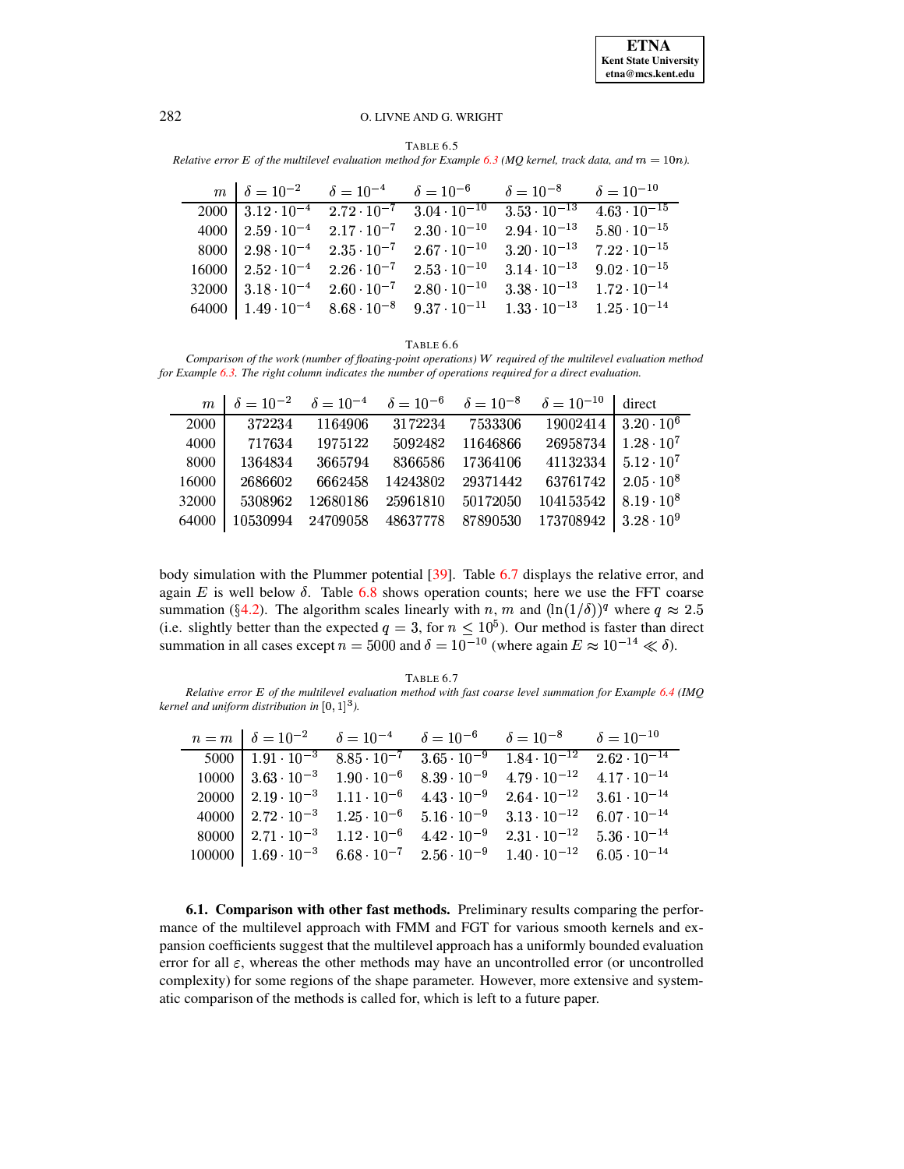TABLE 6.5

<span id="page-19-1"></span>*Relative error*  $E$  *of the multilevel evaluation method for <i>Example* [6.3](#page-18-3) *(MQ kernel, track data, and*  $m = 10n$ ).

|  | $m \mid \delta = 10^{-2}$ $\delta = 10^{-4}$ $\delta = 10^{-6}$ $\delta = 10^{-8}$ $\delta = 10^{-10}$              |                                             |                                                                                                                                  |
|--|---------------------------------------------------------------------------------------------------------------------|---------------------------------------------|----------------------------------------------------------------------------------------------------------------------------------|
|  |                                                                                                                     |                                             | $2000 \mid 3.12 \cdot 10^{-4}$ $\overline{2.72 \cdot 10^{-7}}$ $3.04 \cdot 10^{-10}$ $3.53 \cdot 10^{-13}$ $4.63 \cdot 10^{-15}$ |
|  | 4000   $2.59 \cdot 10^{-4}$ $2.17 \cdot 10^{-7}$ $2.30 \cdot 10^{-10}$                                              | $2.94 \cdot 10^{-13}$ $5.80 \cdot 10^{-15}$ |                                                                                                                                  |
|  | 8000   $2.98 \cdot 10^{-4}$ $2.35 \cdot 10^{-7}$ $2.67 \cdot 10^{-10}$                                              | $3.20 \cdot 10^{-13}$ $7.22 \cdot 10^{-15}$ |                                                                                                                                  |
|  | $16000$   $2.52 \cdot 10^{-4}$ $2.26 \cdot 10^{-7}$ $2.53 \cdot 10^{-10}$                                           | $3.14 \cdot 10^{-13}$ $9.02 \cdot 10^{-15}$ |                                                                                                                                  |
|  | $32000$   $3.18 \cdot 10^{-4}$ $2.60 \cdot 10^{-7}$ $2.80 \cdot 10^{-10}$                                           | $3.38 \cdot 10^{-13}$ $1.72 \cdot 10^{-14}$ |                                                                                                                                  |
|  | 64000   $1.49 \cdot 10^{-4}$ $8.68 \cdot 10^{-8}$ $9.37 \cdot 10^{-11}$ $1.33 \cdot 10^{-13}$ $1.25 \cdot 10^{-14}$ |                                             |                                                                                                                                  |

#### TABLE 6.6

*Comparison of the work (number of floating-point operations) required of the multilevel evaluation method for Example [6.3.](#page-18-3) The right column indicates the number of operations required for a direct evaluation.*

|        |         |                 |  | $m \mid \delta = 10^{-2} \quad \delta = 10^{-4} \quad \delta = 10^{-6} \quad \delta = 10^{-8} \quad \delta = 10^{-10}$ direct |  |
|--------|---------|-----------------|--|-------------------------------------------------------------------------------------------------------------------------------|--|
| 2000 l | 372234  |                 |  | $1164906$ $3172234$ $7533306$ $19002414$ $3.\overline{20 \cdot 10^6}$                                                         |  |
| 4000   | 717634  | 1975122 5092482 |  | $11646866$ $26958734$   $1.28 \cdot 10^7$                                                                                     |  |
| 8000   | 1364834 | 3665794         |  | $8366586$ 17364106 41132334 5.12 0                                                                                            |  |
| 16000  |         | 2686602 6662458 |  | $14243802$ 29371442 63761742 2.05 10 <sup>8</sup>                                                                             |  |
| 32000  | 5308962 | 12680186        |  | 25961810 50172050 104153542 8.19 $\cdot$ 10 <sup>8</sup>                                                                      |  |
| 64000  |         |                 |  | $10530994$ 24709058 48637778 87890530 173708942 3.28 10 <sup>9</sup>                                                          |  |

body simulation with the Plummer potential [\[39\]](#page-24-16). Table [6.7](#page-19-2) displays the relative error, and again  $E$  is well below  $\delta$ . Table [6.8](#page-20-1) shows operation counts; here we use the FFT coarse summation (§[4.2\)](#page-15-2). The algorithm scales linearly with n, m and  $(\ln(1/\delta))^q$  where  $q \approx 2.5$ (i.e. slightly better than the expected  $q = 3$ , for  $n \leq 10^5$ ). Our method is faster than direct summation in all cases except  $n = 5000$  and  $\delta = 10^{-10}$  (where again  $E \approx 10^{-14} \ll \delta$ ).

<span id="page-19-2"></span>TABLE 6.7 *Relative error E of the multilevel evaluation method with fast coarse level summation for Example* [6.4](#page-18-4) *(IMQ kernel and uniform distribution in*  $[0, 1]^3$ *).* 

|  |  | $n = m \begin{bmatrix} \delta = 10^{-2} \\ \delta = 10^{-4} \\ \end{bmatrix}$ $\delta = 10^{-6} \begin{bmatrix} \delta = 10^{-8} \\ \delta = 10^{-10} \\ \end{bmatrix}$ |                                                                                                                     |
|--|--|-------------------------------------------------------------------------------------------------------------------------------------------------------------------------|---------------------------------------------------------------------------------------------------------------------|
|  |  |                                                                                                                                                                         | $5000$   $1.91 \cdot 10^{-3}$ $8.85 \cdot 10^{-7}$ $3.65 \cdot 10^{-9}$ $1.84 \cdot 10^{-12}$ $2.62 \cdot 10^{-14}$ |
|  |  | $10000 \mid 3.63 \cdot 10^{-3} \quad 1.90 \cdot 10^{-6} \quad 8.39 \cdot 10^{-9} \quad 4.79 \cdot 10^{-12} \quad 4.17 \cdot 10^{-14}$                                   |                                                                                                                     |
|  |  | 20000   $2.19 \cdot 10^{-3}$ $1.11 \cdot 10^{-6}$ $4.43 \cdot 10^{-9}$ $2.64 \cdot 10^{-12}$ $3.61 \cdot 10^{-14}$                                                      |                                                                                                                     |
|  |  | 40000   $2.72 \cdot 10^{-3}$ $1.25 \cdot 10^{-6}$ $5.16 \cdot 10^{-9}$ $3.13 \cdot 10^{-12}$ $6.07 \cdot 10^{-14}$                                                      |                                                                                                                     |
|  |  | 80000   $2.71 \cdot 10^{-3}$ $1.12 \cdot 10^{-6}$ $4.42 \cdot 10^{-9}$ $2.31 \cdot 10^{-12}$ $5.36 \cdot 10^{-14}$                                                      |                                                                                                                     |
|  |  | $100000$   $1.69 \cdot 10^{-3}$ $6.68 \cdot 10^{-7}$ $2.56 \cdot 10^{-9}$ $1.40 \cdot 10^{-12}$ $6.05 \cdot 10^{-14}$                                                   |                                                                                                                     |

<span id="page-19-0"></span>**6.1. Comparison with other fast methods.** Preliminary results comparing the performance of the multilevel approach with FMM and FGT for various smooth kernels and expansion coefficients suggest that the multilevel approach has a uniformly bounded evaluation error for all  $\varepsilon$ , whereas the other methods may have an uncontrolled error (or uncontrolled complexity) for some regions of the shape parameter. However, more extensive and systematic comparison of the methods is called for, which is left to a future paper.

 $\mathbf{r}$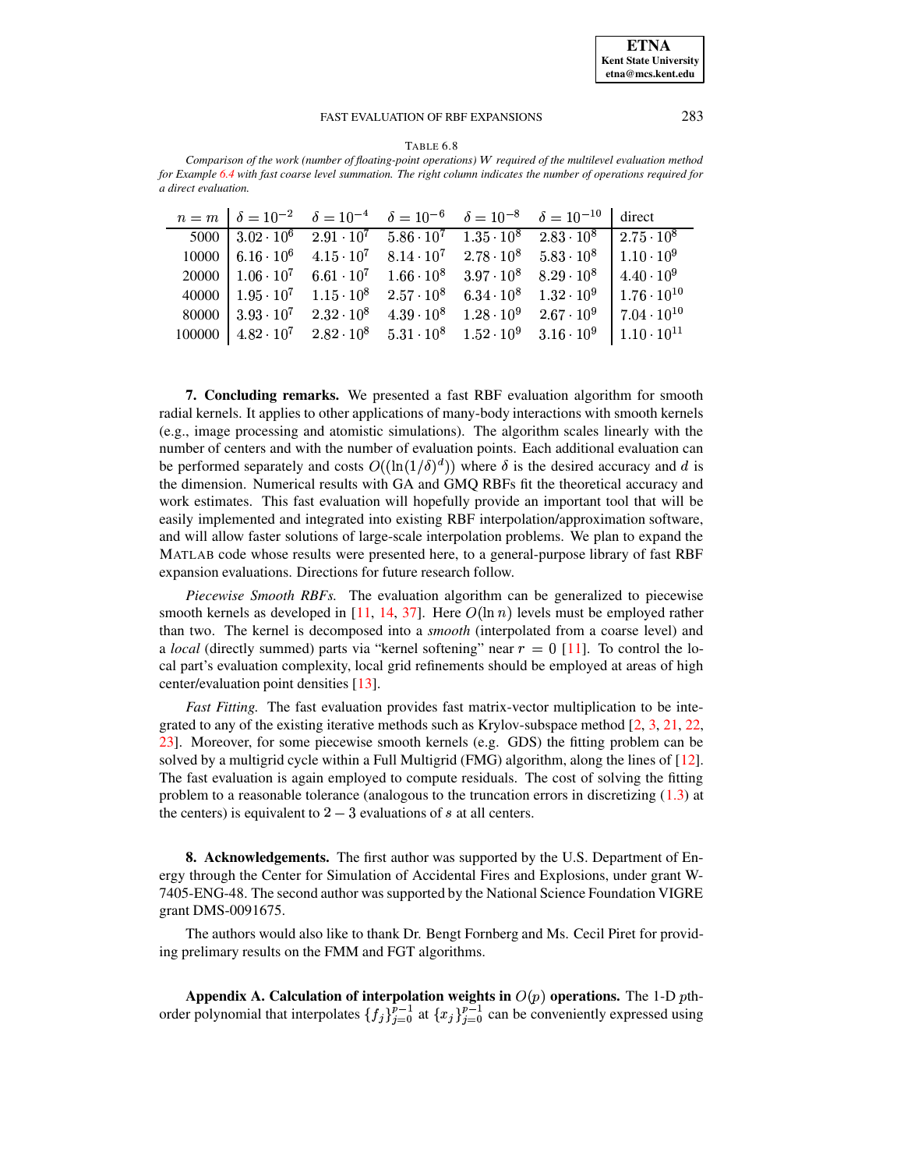<span id="page-20-1"></span>TABLE 6.8 *Comparison of the work (number of floating-point operations) required of the multilevel evaluation method* for Example [6.4](#page-18-4) with fast coarse level summation. The right column indicates the number of operations required for *a direct evaluation.*

|  |  | $n = m$ $\delta = 10^{-2}$ $\delta = 10^{-4}$ $\delta = 10^{-6}$ $\delta = 10^{-8}$ $\delta = 10^{-10}$ direct                                                            |  |
|--|--|---------------------------------------------------------------------------------------------------------------------------------------------------------------------------|--|
|  |  | $5000$   $3.02 \cdot 10^6$ $2.91 \cdot 10^7$ $5.86 \cdot 10^7$ $1.35 \cdot 10^8$ $2.83 \cdot 10^8$   $2.75 \cdot 10^8$                                                    |  |
|  |  | $10000$   $6.16 \cdot 10^6$ $4.15 \cdot 10^7$ $8.14 \cdot 10^7$ $2.78 \cdot 10^8$ $5.83 \cdot 10^8$   $1.10 \cdot 10^9$                                                   |  |
|  |  | $20000$ $1.06 \cdot 10^7$ $6.61 \cdot 10^7$ $1.66 \cdot 10^8$ $3.97 \cdot 10^8$ $8.29 \cdot 10^8$ $4.40 \cdot 10^9$                                                       |  |
|  |  | 40000   $1.95 \cdot 10^7$ $1.15 \cdot 10^8$ $2.57 \cdot 10^8$ $6.34 \cdot 10^8$ $1.32 \cdot 10^9$ $1.76 \cdot 10^{10}$                                                    |  |
|  |  | $80000$   $3.93 \cdot 10^7$ $2.32 \cdot 10^8$ $4.39 \cdot 10^8$ $1.28 \cdot 10^9$ $2.67 \cdot 10^9$   $7.04 \cdot 10^{10}$                                                |  |
|  |  | $100000$ $\begin{array}{ l} 4.82 \cdot 10^7 \quad 2.82 \cdot 10^8 \quad 5.31 \cdot 10^8 \quad 1.52 \cdot 10^9 \quad 3.16 \cdot 10^9 \quad 1.10 \cdot 10^{11} \end{array}$ |  |

**7. Concluding remarks.** We presented a fast RBF evaluation algorithm for smooth radial kernels. It applies to other applications of many-body interactions with smooth kernels (e.g., image processing and atomistic simulations). The algorithm scales linearly with the number of centers and with the number of evaluation points. Each additional evaluation can be performed separately and costs  $O((\ln(1/\delta)^d))$  where  $\delta$  is the desired accuracy and d is the dimension. Numerical results with GA and GMQ RBFs fit the theoretical accuracy and work estimates. This fast evaluation will hopefully provide an important tool that will be easily implemented and integrated into existing RBF interpolation/approximation software, and will allow faster solutions of large-scale interpolation problems. We plan to expand the MATLAB code whose results were presented here, to a general-purpose library of fast RBF expansion evaluations. Directions for future research follow.

*Piecewise Smooth RBFs.* The evaluation algorithm can be generalized to piecewise smooth kernels as developed in [\[11,](#page-23-6) [14,](#page-23-13) [37\]](#page-24-27). Here  $O(\ln n)$  levels must be employed rather than two. The kernel is decomposed into a *smooth* (interpolated from a coarse level) and a *local* (directly summed) parts via "kernel softening" near  $r = 0$  [\[11\]](#page-23-6). To control the local part's evaluation complexity, local grid refinements should be employed at areas of high center/evaluation point densities [\[13\]](#page-23-14).

*Fast Fitting.* The fast evaluation provides fast matrix-vector multiplication to be integrated to any of the existing iterative methods such as Krylov-subspace method  $[2, 3, 21, 22, 1, 22]$  $[2, 3, 21, 22, 1, 22]$  $[2, 3, 21, 22, 1, 22]$  $[2, 3, 21, 22, 1, 22]$  $[2, 3, 21, 22, 1, 22]$  $[2, 3, 21, 22, 1, 22]$  $[2, 3, 21, 22, 1, 22]$  $[2, 3, 21, 22, 1, 22]$ [23\]](#page-24-13). Moreover, for some piecewise smooth kernels (e.g. GDS) the fitting problem can be solved by a multigrid cycle within a Full Multigrid (FMG) algorithm, along the lines of [\[12\]](#page-23-15). The fast evaluation is again employed to compute residuals. The cost of solving the fitting problem to a reasonable tolerance (analogous to the truncation errors in discretizing [\(1.3\)](#page-2-1) at the centers) is equivalent to  $2-3$  evaluations of s at all centers.

**8. Acknowledgements.** The first author was supported by the U.S. Department of Energy through the Center for Simulation of Accidental Fires and Explosions, under grant W-7405-ENG-48. The second author was supported by the National Science Foundation VIGRE grant DMS-0091675.

<span id="page-20-0"></span>The authors would also like to thank Dr. Bengt Fornberg and Ms. Cecil Piret for providing prelimary results on the FMM and FGT algorithms.

**Appendix A. Calculation of interpolation weights in**  $O(p)$  **operations. The 1-D pth**order polynomial that interpolates  $\{f_j\}_{i=0}^{p-1}$  at  $\{x_j\}_{i=0}^{p-1}$  can be conveniently expressed using

**ETNA Kent State University etna@mcs.kent.edu**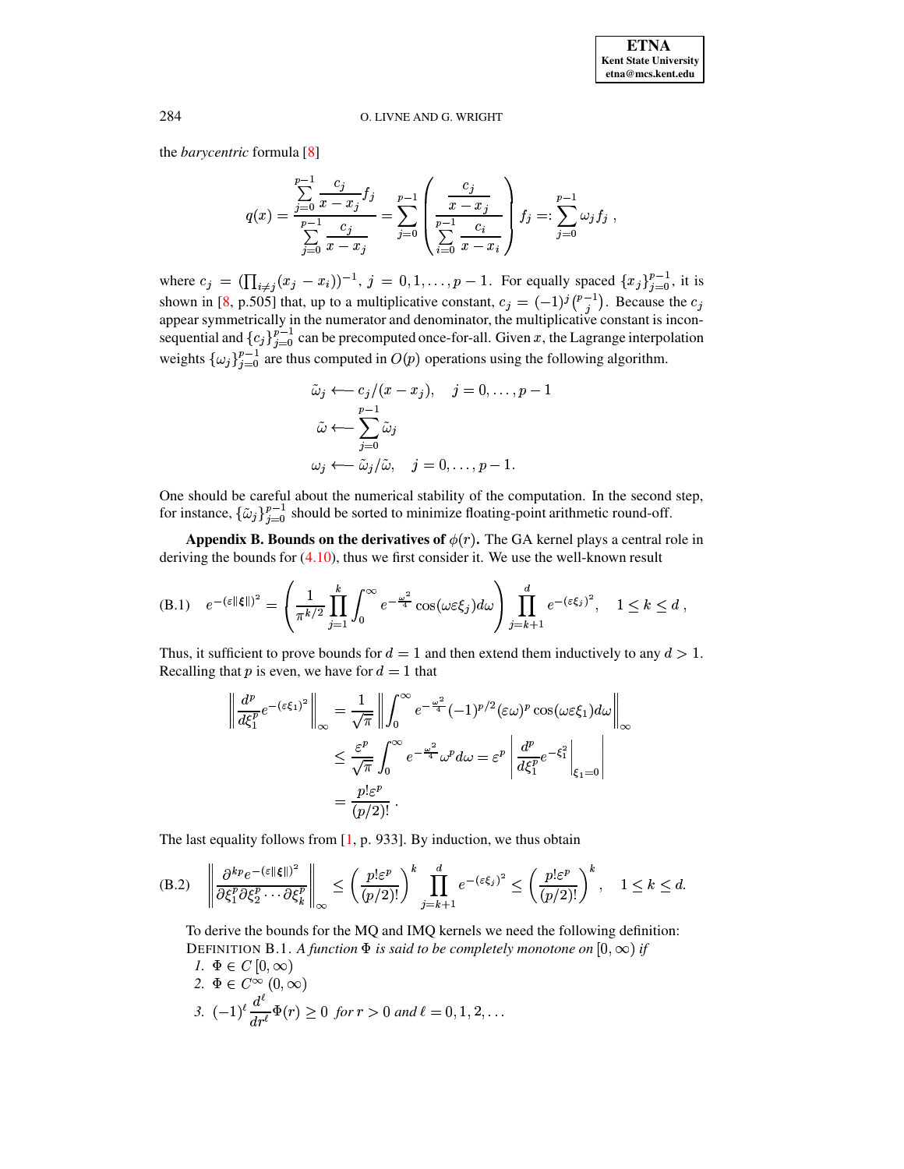the *barycentric* formula [8]

$$
q(x) = \frac{\sum_{j=0}^{p-1} \frac{c_j}{x - x_j} f_j}{\sum_{j=0}^{p-1} \frac{c_j}{x - x_j}} = \sum_{j=0}^{p-1} \left( \frac{\frac{c_j}{x - x_j}}{\sum_{i=0}^{p-1} \frac{c_i}{x - x_i}} \right) f_j =: \sum_{j=0}^{p-1} \omega_j f_j,
$$

where  $c_j = (\prod_{i \neq j} (x_j - x_i))^{-1}$ ,  $j = 0, 1, ..., p - 1$ . For equally spaced  $\{x_j\}_{j=0}^{p-1}$ , it is shown in [8, p.505] that, up to a multiplicative constant,  $c_j = (-1)^j {p-1 \choose j}$ . Because the  $c_j$  appear symmetrically in the numerator and denominator, the multiplicative constant is inconsequential and  $\{c_j\}_{j=0}^{p-1}$  ca weights  $\{\omega_j\}_{j=0}^{p-1}$  are thus computed in  $O(p)$  operations using the following algorithm.

<span id="page-21-2"></span>
$$
\tilde{\omega}_j \leftarrow c_j/(x - x_j), \quad j = 0, \dots, p - 1
$$

$$
\tilde{\omega} \leftarrow \sum_{j=0}^{p-1} \tilde{\omega}_j
$$

$$
\omega_j \leftarrow \tilde{\omega}_j/\tilde{\omega}, \quad j = 0, \dots, p - 1.
$$

<span id="page-21-0"></span>One should be careful about the numerical stability of the computation. In the second step, for instance,  $\{\tilde{\omega}_j\}_{j=0}^{p-1}$  should be sorted to minimize floating-point arithmetic round-off.

**Appendix B. Bounds on the derivatives of**  $\phi(r)$ . The GA kernel plays a central role in deriving the bounds for  $(4.10)$ , thus we first consider it. We use the well-known result

(B.1) 
$$
e^{-(\varepsilon\|\boldsymbol{\xi}\|)^2} = \left(\frac{1}{\pi^{k/2}}\prod_{j=1}^k \int_0^\infty e^{-\frac{\omega^2}{4}}\cos(\omega \varepsilon \xi_j)d\omega\right)\prod_{j=k+1}^d e^{-(\varepsilon \xi_j)^2}, \quad 1 \leq k \leq d,
$$

Thus, it sufficient to prove bounds for  $d = 1$  and then extend them inductively to any  $d > 1$ . Recalling that p is even, we have for  $d = 1$  that

<span id="page-21-1"></span>
$$
\left\| \frac{d^p}{d\xi_1^p} e^{-(\varepsilon \xi_1)^2} \right\|_{\infty} = \frac{1}{\sqrt{\pi}} \left\| \int_0^{\infty} e^{-\frac{\omega^2}{4}} (-1)^{p/2} (\varepsilon \omega)^p \cos(\omega \varepsilon \xi_1) d\omega \right\|_{\infty}
$$
  

$$
\leq \frac{\varepsilon^p}{\sqrt{\pi}} \int_0^{\infty} e^{-\frac{\omega^2}{4}} \omega^p d\omega = \varepsilon^p \left| \frac{d^p}{d\xi_1^p} e^{-\xi_1^2} \right|_{\xi_1 = 0}
$$
  

$$
= \frac{p! \varepsilon^p}{(p/2)!}.
$$

The last equality follows from  $[1, p. 933]$ . By induction, we thus obtain

(B.2) 
$$
\left\|\frac{\partial^{kp} e^{-(\varepsilon||\xi||)^2}}{\partial \xi_1^p \partial \xi_2^p \cdots \partial \xi_k^p}\right\|_{\infty} \le \left(\frac{p! \varepsilon^p}{(p/2)!}\right)^k \prod_{j=k+1}^d e^{-(\varepsilon \xi_j)^2} \le \left(\frac{p! \varepsilon^p}{(p/2)!}\right)^k, \quad 1 \le k \le d.
$$

To derive the bounds for the MO and IMO kernels we need the following definition: DEFINITION B.1. A function  $\Phi$  is said to be completely monotone on  $[0, \infty)$  if  $1 \Phi \in C$  In

7. 
$$
\Phi \in C[0, \infty)
$$
  
\n2. 
$$
\Phi \in C^{\infty}(0, \infty)
$$
  
\n3. 
$$
(-1)^{\ell} \frac{d^{\ell}}{dr^{\ell}} \Phi(r) \ge 0 \text{ for } r > 0 \text{ and } \ell = 0, 1, 2, ...
$$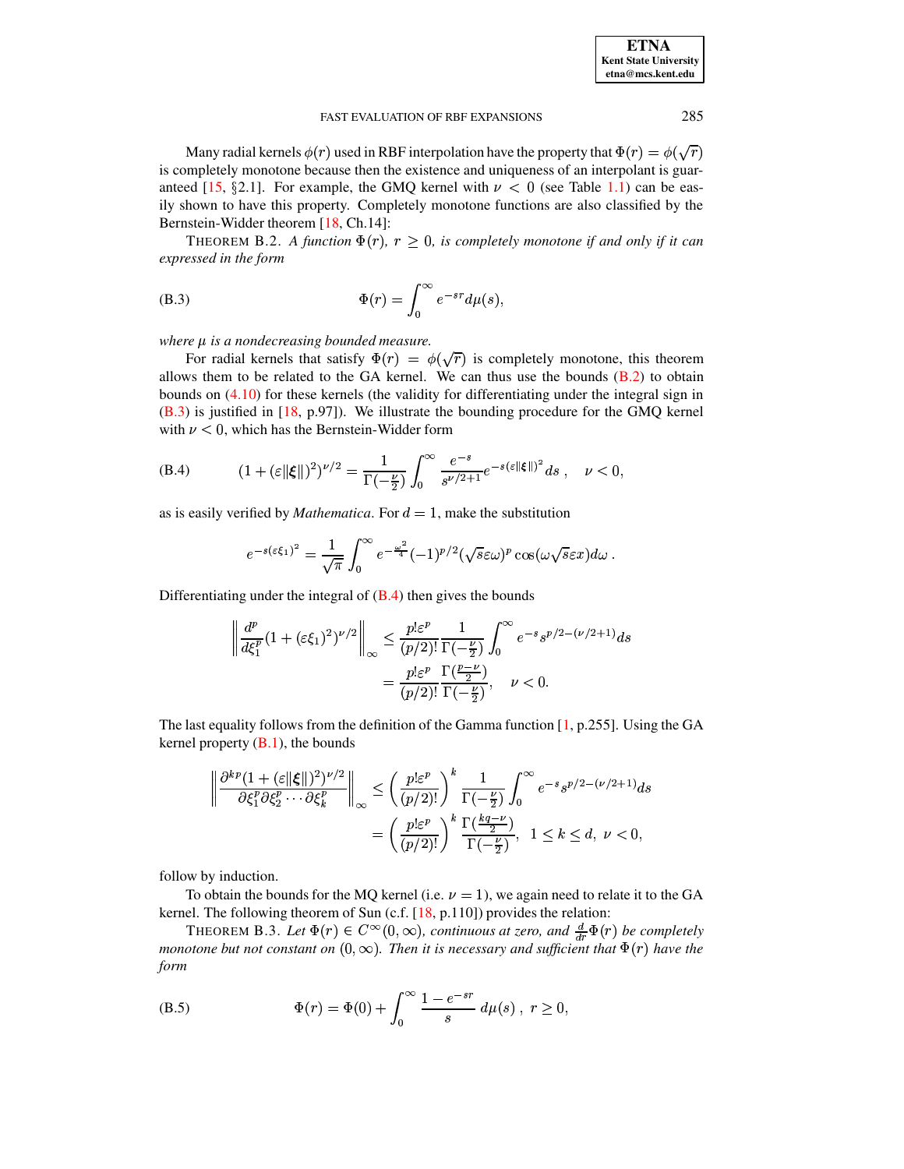Many radial kernels  $\phi(r)$  used in RBF interpolation have the property that  $\Phi(r) = \phi(\sqrt{r})$ is completely monotone because then the existence and uniqueness of an interpolant is guaranteed [15, §2.1]. For example, the GMQ kernel with  $\nu < 0$  (see Table 1.1) can be easily shown to have this property. Completely monotone functions are also classified by the Bernstein-Widder theorem [18, Ch.14]:

<span id="page-22-0"></span>THEOREM B.2. A function  $\Phi(r)$ ,  $r \geq 0$ , is completely monotone if and only if it can expressed in the form

(B.3) 
$$
\Phi(r) = \int_0^\infty e^{-sr} d\mu(s),
$$

where  $\mu$  is a nondecreasing bounded measure.

For radial kernels that satisfy  $\Phi(r) = \phi(\sqrt{r})$  is completely monotone, this theorem allows them to be related to the GA kernel. We can thus use the bounds  $(B.2)$  to obtain bounds on  $(4.10)$  for these kernels (the validity for differentiating under the integral sign in  $(B.3)$  is justified in [18, p.97]). We illustrate the bounding procedure for the GMQ kernel with  $\nu < 0$ , which has the Bernstein-Widder form

(B.4) 
$$
(1 + (\varepsilon ||\xi||)^2)^{\nu/2} = \frac{1}{\Gamma(-\frac{\nu}{2})} \int_0^\infty \frac{e^{-s}}{s^{\nu/2 + 1}} e^{-s(\varepsilon ||\xi||)^2} ds , \quad \nu < 0,
$$

as is easily verified by *Mathematica*. For  $d = 1$ , make the substitution

<span id="page-22-1"></span>
$$
e^{-s(\varepsilon\xi_1)^2} = \frac{1}{\sqrt{\pi}} \int_0^\infty e^{-\frac{\omega^2}{4}} (-1)^{p/2} (\sqrt{s}\varepsilon\omega)^p \cos(\omega\sqrt{s}\varepsilon x) d\omega.
$$

Differentiating under the integral of  $(B.4)$  then gives the bounds

$$
\left\| \frac{d^p}{d\xi_1^p} (1 + (\varepsilon \xi_1)^2)^{\nu/2} \right\|_{\infty} \le \frac{p! \varepsilon^p}{(p/2)!} \frac{1}{\Gamma(-\frac{\nu}{2})} \int_0^{\infty} e^{-s} s^{p/2 - (\nu/2 + 1)} ds
$$

$$
= \frac{p! \varepsilon^p}{(p/2)!} \frac{\Gamma(\frac{p-\nu}{2})}{\Gamma(-\frac{\nu}{2})}, \quad \nu < 0.
$$

The last equality follows from the definition of the Gamma function [1, p.255]. Using the GA kernel property  $(B.1)$ , the bounds

$$
\left\| \frac{\partial^{kp} (1 + (\varepsilon ||\xi||)^2)^{\nu/2}}{\partial \xi_1^p \partial \xi_2^p \cdots \partial \xi_k^p} \right\|_{\infty} \le \left( \frac{p! \varepsilon^p}{(p/2)!} \right)^k \frac{1}{\Gamma(-\frac{\nu}{2})} \int_0^{\infty} e^{-s} s^{p/2 - (\nu/2 + 1)} ds
$$

$$
= \left( \frac{p! \varepsilon^p}{(p/2)!} \right)^k \frac{\Gamma(\frac{kq - \nu}{2})}{\Gamma(-\frac{\nu}{2})}, \quad 1 \le k \le d, \quad \nu < 0,
$$

follow by induction.

To obtain the bounds for the MQ kernel (i.e.  $\nu = 1$ ), we again need to relate it to the GA kernel. The following theorem of Sun (c.f.  $[18, p.110]$ ) provides the relation:

<span id="page-22-2"></span>THEOREM B.3. Let  $\Phi(r) \in C^{\infty}(0,\infty)$ , continuous at zero, and  $\frac{d}{dr}\Phi(r)$  be completely monotone but not constant on  $(0, \infty)$ . Then it is necessary and sufficient that  $\Phi(r)$  have the form

(B.5) 
$$
\Phi(r) = \Phi(0) + \int_0^\infty \frac{1 - e^{-sr}}{s} d\mu(s) , r \ge 0,
$$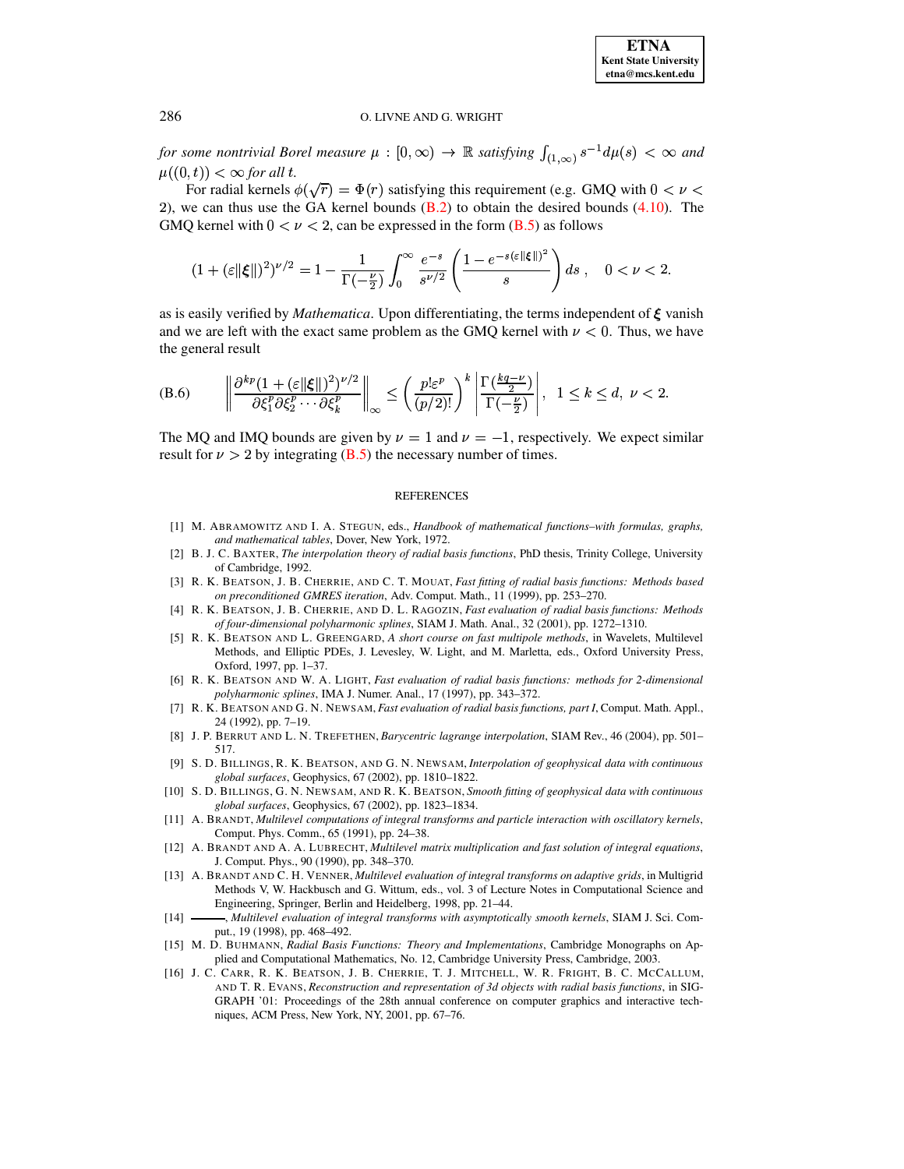for some nontrivial Borel measure  $\mu : [0, \infty) \to \mathbb{R}$  satisfying  $\int_{(1, \infty)} s^{-1} d\mu(s) < \infty$  and  $\mu((0,t)) < \infty$  for all t.

For radial kernels  $\phi(\sqrt{r}) = \Phi(r)$  satisfying this requirement (e.g. GMQ with  $0 < \nu <$ 2), we can thus use the GA kernel bounds  $(B.2)$  to obtain the desired bounds  $(4.10)$ . The GMQ kernel with  $0 < \nu < 2$ , can be expressed in the form (B.5) as follows

$$
(1+(\varepsilon\|\boldsymbol{\xi}\|)^2)^{\nu/2}=1-\frac{1}{\Gamma(-\frac{\nu}{2})}\int_0^\infty \frac{e^{-s}}{s^{\nu/2}}\left(\frac{1-e^{-s(\varepsilon\|\boldsymbol{\xi}\|)^2}}{s}\right)ds\;,\quad 0<\nu<2.
$$

<span id="page-23-12"></span>as is easily verified by *Mathematica*. Upon differentiating, the terms independent of  $\xi$  vanish and we are left with the exact same problem as the GMQ kernel with  $\nu < 0$ . Thus, we have the general result

(B.6) 
$$
\left\| \frac{\partial^{kp}(1+(\varepsilon||\boldsymbol{\xi}||)^2)^{\nu/2}}{\partial \xi_1^p \partial \xi_2^p \cdots \partial \xi_k^p} \right\|_{\infty} \leq \left( \frac{p! \varepsilon^p}{(p/2)!} \right)^k \left| \frac{\Gamma(\frac{kq-\nu}{2})}{\Gamma(-\frac{\nu}{2})} \right|, \quad 1 \leq k \leq d, \quad \nu < 2
$$

The MQ and IMQ bounds are given by  $\nu = 1$  and  $\nu = -1$ , respectively. We expect similar result for  $\nu > 2$  by integrating (B.5) the necessary number of times.

### **REFERENCES**

- <span id="page-23-11"></span>[1] M. ABRAMOWITZ AND I. A. STEGUN, eds., Handbook of mathematical functions-with formulas, graphs, and mathematical tables, Dover, New York, 1972.
- <span id="page-23-4"></span>[2] B. J. C. BAXTER, The interpolation theory of radial basis functions, PhD thesis, Trinity College, University of Cambridge, 1992.
- <span id="page-23-8"></span><span id="page-23-5"></span>[3] R. K. BEATSON, J. B. CHERRIE, AND C. T. MOUAT, Fast fitting of radial basis functions: Methods based on preconditioned GMRES iteration, Adv. Comput. Math., 11 (1999), pp. 253-270.
- [4] R. K. BEATSON, J. B. CHERRIE, AND D. L. RAGOZIN, Fast evaluation of radial basis functions: Methods of four-dimensional polyharmonic splines, SIAM J. Math. Anal., 32 (2001), pp. 1272-1310.
- <span id="page-23-9"></span>[5] R. K. BEATSON AND L. GREENGARD, A short course on fast multipole methods, in Wavelets, Multilevel Methods, and Elliptic PDEs, J. Levesley, W. Light, and M. Marletta, eds., Oxford University Press, Oxford, 1997, pp. 1-37.
- <span id="page-23-10"></span><span id="page-23-7"></span>[6] R. K. BEATSON AND W. A. LIGHT, Fast evaluation of radial basis functions: methods for 2-dimensional polyharmonic splines, IMA J. Numer. Anal., 17 (1997), pp. 343-372.
- [7] R. K. BEATSON AND G. N. NEWSAM, Fast evaluation of radial basis functions, part I, Comput. Math. Appl., 24 (1992), pp. 7-19.
- <span id="page-23-16"></span>[8] J. P. BERRUT AND L. N. TREFETHEN, Barycentric lagrange interpolation, SIAM Rev., 46 (2004), pp. 501-517.
- <span id="page-23-0"></span>[9] S. D. BILLINGS, R. K. BEATSON, AND G. N. NEWSAM, Interpolation of geophysical data with continuous global surfaces, Geophysics, 67 (2002), pp. 1810-1822.
- <span id="page-23-1"></span>[10] S. D. BILLINGS, G. N. NEWSAM, AND R. K. BEATSON, Smooth fitting of geophysical data with continuous global surfaces, Geophysics, 67 (2002), pp. 1823-1834.
- <span id="page-23-6"></span>[11] A. BRANDT, Multilevel computations of integral transforms and particle interaction with oscillatory kernels, Comput. Phys. Comm., 65 (1991), pp. 24-38.
- <span id="page-23-15"></span>[12] A. BRANDT AND A. A. LUBRECHT, Multilevel matrix multiplication and fast solution of integral equations, J. Comput. Phys., 90 (1990), pp. 348-370.
- <span id="page-23-14"></span>[13] A. BRANDT AND C. H. VENNER, Multilevel evaluation of integral transforms on adaptive grids, in Multigrid Methods V, W. Hackbusch and G. Wittum, eds., vol. 3 of Lecture Notes in Computational Science and Engineering, Springer, Berlin and Heidelberg, 1998, pp. 21–44.
- <span id="page-23-13"></span>-, Multilevel evaluation of integral transforms with asymptotically smooth kernels, SIAM J. Sci. Com- $[14]$ . put., 19 (1998), pp. 468-492.
- <span id="page-23-3"></span>[15] M. D. BUHMANN, Radial Basis Functions: Theory and Implementations, Cambridge Monographs on Applied and Computational Mathematics, No. 12, Cambridge University Press, Cambridge, 2003.
- <span id="page-23-2"></span>[16] J. C. CARR, R. K. BEATSON, J. B. CHERRIE, T. J. MITCHELL, W. R. FRIGHT, B. C. MCCALLUM, AND T. R. EVANS, Reconstruction and representation of 3d objects with radial basis functions, in SIG-GRAPH '01: Proceedings of the 28th annual conference on computer graphics and interactive techniques, ACM Press, New York, NY, 2001, pp. 67-76.